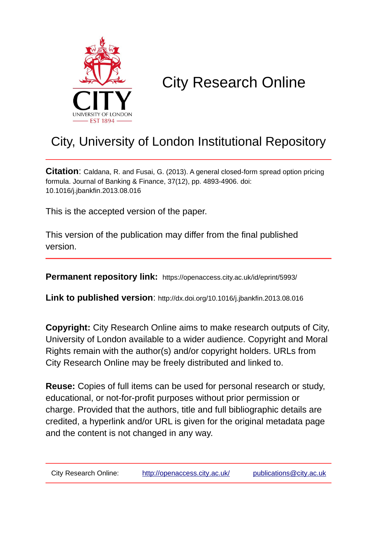

# City Research Online

## City, University of London Institutional Repository

**Citation**: Caldana, R. and Fusai, G. (2013). A general closed-form spread option pricing formula. Journal of Banking & Finance, 37(12), pp. 4893-4906. doi: 10.1016/j.jbankfin.2013.08.016

This is the accepted version of the paper.

This version of the publication may differ from the final published version.

**Permanent repository link:** https://openaccess.city.ac.uk/id/eprint/5993/

**Link to published version**: http://dx.doi.org/10.1016/j.jbankfin.2013.08.016

**Copyright:** City Research Online aims to make research outputs of City, University of London available to a wider audience. Copyright and Moral Rights remain with the author(s) and/or copyright holders. URLs from City Research Online may be freely distributed and linked to.

**Reuse:** Copies of full items can be used for personal research or study, educational, or not-for-profit purposes without prior permission or charge. Provided that the authors, title and full bibliographic details are credited, a hyperlink and/or URL is given for the original metadata page and the content is not changed in any way.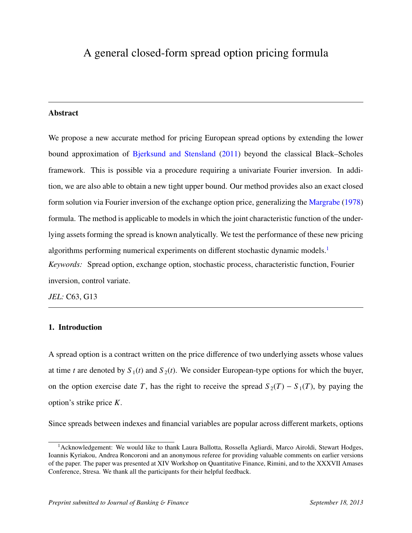## <span id="page-1-0"></span>A general closed-form spread option pricing formula

#### Abstract

We propose a new accurate method for pricing European spread options by extending the lower bound approximation of [Bjerksund and Stensland](#page-36-0) [\(2011\)](#page-36-0) beyond the classical Black–Scholes framework. This is possible via a procedure requiring a univariate Fourier inversion. In addition, we are also able to obtain a new tight upper bound. Our method provides also an exact closed form solution via Fourier inversion of the exchange option price, generalizing the [Margrabe](#page-38-0) [\(1978\)](#page-38-0) formula. The method is applicable to models in which the joint characteristic function of the underlying assets forming the spread is known analytically. We test the performance of these new pricing algorithms performing numerical experiments on different stochastic dynamic models.<sup>1</sup> *Keywords:* Spread option, exchange option, stochastic process, characteristic function, Fourier inversion, control variate.

*JEL:* C63, G13

#### 1. Introduction

A spread option is a contract written on the price difference of two underlying assets whose values at time *t* are denoted by  $S_1(t)$  and  $S_2(t)$ . We consider European-type options for which the buyer, on the option exercise date *T*, has the right to receive the spread  $S_2(T) - S_1(T)$ , by paying the option's strike price *K*.

Since spreads between indexes and financial variables are popular across different markets, options

<sup>&</sup>lt;sup>1</sup> Acknowledgement: We would like to thank Laura Ballotta, Rossella Agliardi, Marco Airoldi, Stewart Hodges, Ioannis Kyriakou, Andrea Roncoroni and an anonymous referee for providing valuable comments on earlier versions of the paper. The paper was presented at XIV Workshop on Quantitative Finance, Rimini, and to the XXXVII Amases Conference, Stresa. We thank all the participants for their helpful feedback.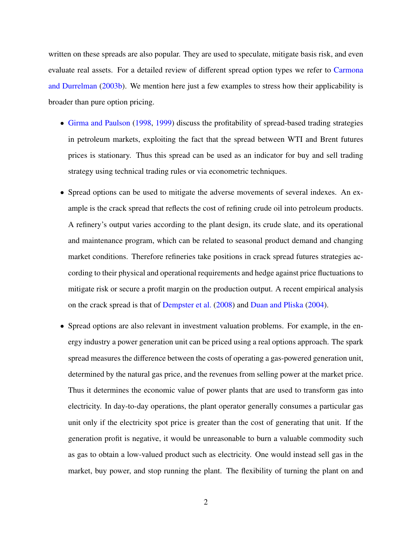written on these spreads are also popular. They are used to speculate, mitigate basis risk, and even evaluate real assets. For a detailed review of different spread option types we refer to [Carmona](#page-36-1) [and Durrelman](#page-36-1) [\(2003b\)](#page-36-1). We mention here just a few examples to stress how their applicability is broader than pure option pricing.

- [Girma and Paulson](#page-37-0) [\(1998,](#page-37-0) [1999\)](#page-37-1) discuss the profitability of spread-based trading strategies in petroleum markets, exploiting the fact that the spread between WTI and Brent futures prices is stationary. Thus this spread can be used as an indicator for buy and sell trading strategy using technical trading rules or via econometric techniques.
- Spread options can be used to mitigate the adverse movements of several indexes. An example is the crack spread that reflects the cost of refining crude oil into petroleum products. A refinery's output varies according to the plant design, its crude slate, and its operational and maintenance program, which can be related to seasonal product demand and changing market conditions. Therefore refineries take positions in crack spread futures strategies according to their physical and operational requirements and hedge against price fluctuations to mitigate risk or secure a profit margin on the production output. A recent empirical analysis on the crack spread is that of [Dempster et al.](#page-37-2) [\(2008\)](#page-37-2) and [Duan and Pliska](#page-37-3) [\(2004\)](#page-37-3).
- Spread options are also relevant in investment valuation problems. For example, in the energy industry a power generation unit can be priced using a real options approach. The spark spread measures the difference between the costs of operating a gas-powered generation unit, determined by the natural gas price, and the revenues from selling power at the market price. Thus it determines the economic value of power plants that are used to transform gas into electricity. In day-to-day operations, the plant operator generally consumes a particular gas unit only if the electricity spot price is greater than the cost of generating that unit. If the generation profit is negative, it would be unreasonable to burn a valuable commodity such as gas to obtain a low-valued product such as electricity. One would instead sell gas in the market, buy power, and stop running the plant. The flexibility of turning the plant on and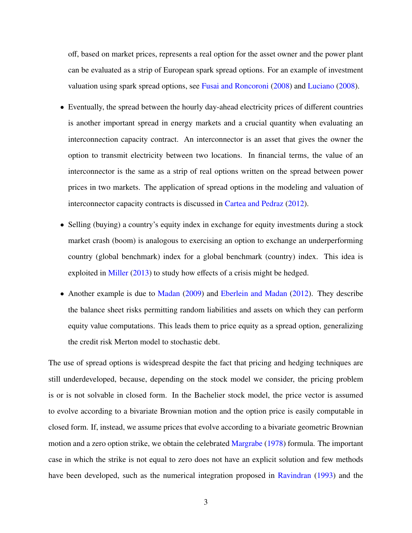off, based on market prices, represents a real option for the asset owner and the power plant can be evaluated as a strip of European spark spread options. For an example of investment valuation using spark spread options, see [Fusai and Roncoroni](#page-37-4) [\(2008\)](#page-37-4) and [Luciano](#page-38-1) [\(2008\)](#page-38-1).

- Eventually, the spread between the hourly day-ahead electricity prices of different countries is another important spread in energy markets and a crucial quantity when evaluating an interconnection capacity contract. An interconnector is an asset that gives the owner the option to transmit electricity between two locations. In financial terms, the value of an interconnector is the same as a strip of real options written on the spread between power prices in two markets. The application of spread options in the modeling and valuation of interconnector capacity contracts is discussed in [Cartea and Pedraz](#page-36-2) [\(2012\)](#page-36-2).
- Selling (buying) a country's equity index in exchange for equity investments during a stock market crash (boom) is analogous to exercising an option to exchange an underperforming country (global benchmark) index for a global benchmark (country) index. This idea is exploited in [Miller](#page-38-2) [\(2013\)](#page-38-2) to study how effects of a crisis might be hedged.
- Another example is due to [Madan](#page-38-3) [\(2009\)](#page-38-3) and [Eberlein and Madan](#page-37-5) [\(2012\)](#page-37-5). They describe the balance sheet risks permitting random liabilities and assets on which they can perform equity value computations. This leads them to price equity as a spread option, generalizing the credit risk Merton model to stochastic debt.

The use of spread options is widespread despite the fact that pricing and hedging techniques are still underdeveloped, because, depending on the stock model we consider, the pricing problem is or is not solvable in closed form. In the Bachelier stock model, the price vector is assumed to evolve according to a bivariate Brownian motion and the option price is easily computable in closed form. If, instead, we assume prices that evolve according to a bivariate geometric Brownian motion and a zero option strike, we obtain the celebrated [Margrabe](#page-38-0) [\(1978\)](#page-38-0) formula. The important case in which the strike is not equal to zero does not have an explicit solution and few methods have been developed, such as the numerical integration proposed in [Ravindran](#page-39-0) [\(1993\)](#page-39-0) and the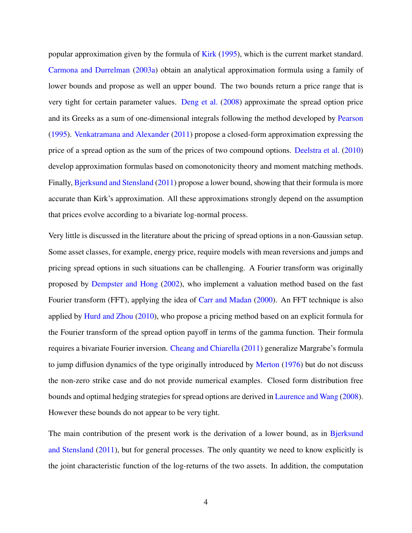popular approximation given by the formula of [Kirk](#page-38-4) [\(1995\)](#page-38-4), which is the current market standard. [Carmona and Durrelman](#page-36-3) [\(2003a\)](#page-36-3) obtain an analytical approximation formula using a family of lower bounds and propose as well an upper bound. The two bounds return a price range that is very tight for certain parameter values. [Deng et al.](#page-37-6) [\(2008\)](#page-37-6) approximate the spread option price and its Greeks as a sum of one-dimensional integrals following the method developed by [Pearson](#page-39-1) [\(1995\)](#page-39-1). [Venkatramana and Alexander](#page-39-2) [\(2011\)](#page-39-2) propose a closed-form approximation expressing the price of a spread option as the sum of the prices of two compound options. [Deelstra et al.](#page-37-7) [\(2010\)](#page-37-7) develop approximation formulas based on comonotonicity theory and moment matching methods. Finally, [Bjerksund and Stensland](#page-36-0) [\(2011\)](#page-36-0) propose a lower bound, showing that their formula is more accurate than Kirk's approximation. All these approximations strongly depend on the assumption that prices evolve according to a bivariate log-normal process.

Very little is discussed in the literature about the pricing of spread options in a non-Gaussian setup. Some asset classes, for example, energy price, require models with mean reversions and jumps and pricing spread options in such situations can be challenging. A Fourier transform was originally proposed by [Dempster and Hong](#page-37-8) [\(2002\)](#page-37-8), who implement a valuation method based on the fast Fourier transform (FFT), applying the idea of [Carr and Madan](#page-36-4) [\(2000\)](#page-36-4). An FFT technique is also applied by [Hurd and Zhou](#page-38-5) [\(2010\)](#page-38-5), who propose a pricing method based on an explicit formula for the Fourier transform of the spread option payoff in terms of the gamma function. Their formula requires a bivariate Fourier inversion. [Cheang and Chiarella](#page-37-9) [\(2011\)](#page-37-9) generalize Margrabe's formula to jump diffusion dynamics of the type originally introduced by [Merton](#page-38-6) [\(1976\)](#page-38-6) but do not discuss the non-zero strike case and do not provide numerical examples. Closed form distribution free bounds and optimal hedging strategies for spread options are derived in [Laurence and Wang](#page-38-7) [\(2008\)](#page-38-7). However these bounds do not appear to be very tight.

The main contribution of the present work is the derivation of a lower bound, as in [Bjerksund](#page-36-0) [and Stensland](#page-36-0) [\(2011\)](#page-36-0), but for general processes. The only quantity we need to know explicitly is the joint characteristic function of the log-returns of the two assets. In addition, the computation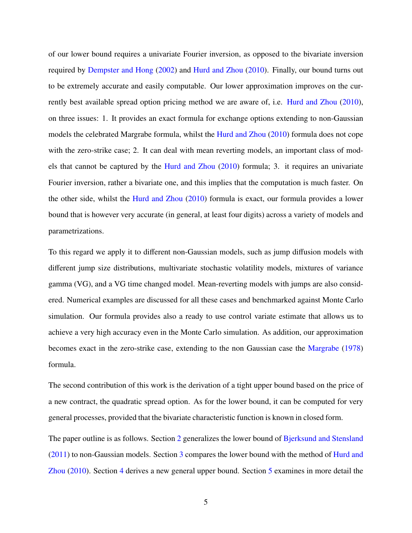of our lower bound requires a univariate Fourier inversion, as opposed to the bivariate inversion required by [Dempster and Hong](#page-37-8) [\(2002\)](#page-37-8) and [Hurd and Zhou](#page-38-5) [\(2010\)](#page-38-5). Finally, our bound turns out to be extremely accurate and easily computable. Our lower approximation improves on the currently best available spread option pricing method we are aware of, i.e. [Hurd and Zhou](#page-38-5) [\(2010\)](#page-38-5), on three issues: 1. It provides an exact formula for exchange options extending to non-Gaussian models the celebrated Margrabe formula, whilst the [Hurd and Zhou](#page-38-5) [\(2010\)](#page-38-5) formula does not cope with the zero-strike case; 2. It can deal with mean reverting models, an important class of models that cannot be captured by the [Hurd and Zhou](#page-38-5) [\(2010\)](#page-38-5) formula; 3. it requires an univariate Fourier inversion, rather a bivariate one, and this implies that the computation is much faster. On the other side, whilst the [Hurd and Zhou](#page-38-5) [\(2010\)](#page-38-5) formula is exact, our formula provides a lower bound that is however very accurate (in general, at least four digits) across a variety of models and parametrizations.

To this regard we apply it to different non-Gaussian models, such as jump diffusion models with different jump size distributions, multivariate stochastic volatility models, mixtures of variance gamma (VG), and a VG time changed model. Mean-reverting models with jumps are also considered. Numerical examples are discussed for all these cases and benchmarked against Monte Carlo simulation. Our formula provides also a ready to use control variate estimate that allows us to achieve a very high accuracy even in the Monte Carlo simulation. As addition, our approximation becomes exact in the zero-strike case, extending to the non Gaussian case the [Margrabe](#page-38-0) [\(1978\)](#page-38-0) formula.

The second contribution of this work is the derivation of a tight upper bound based on the price of a new contract, the quadratic spread option. As for the lower bound, it can be computed for very general processes, provided that the bivariate characteristic function is known in closed form.

The paper outline is as follows. Section [2](#page-6-0) generalizes the lower bound of [Bjerksund and Stensland](#page-36-0) [\(2011\)](#page-36-0) to non-Gaussian models. Section [3](#page-11-0) compares the lower bound with the method of [Hurd and](#page-38-5) [Zhou](#page-38-5) [\(2010\)](#page-38-5). Section [4](#page-12-0) derives a new general upper bound. Section [5](#page-14-0) examines in more detail the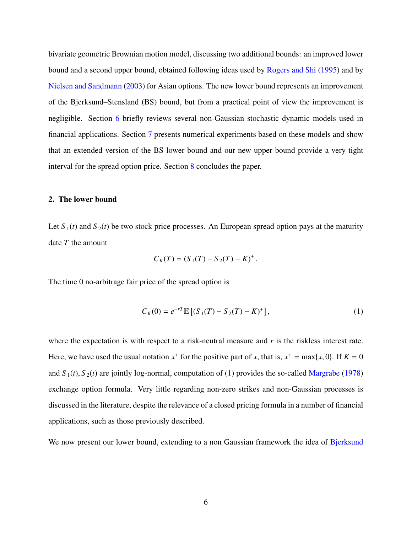bivariate geometric Brownian motion model, discussing two additional bounds: an improved lower bound and a second upper bound, obtained following ideas used by [Rogers and Shi](#page-39-3) [\(1995\)](#page-39-3) and by [Nielsen and Sandmann](#page-38-8) [\(2003\)](#page-38-8) for Asian options. The new lower bound represents an improvement of the Bjerksund–Stensland (BS) bound, but from a practical point of view the improvement is negligible. Section [6](#page-21-0) briefly reviews several non-Gaussian stochastic dynamic models used in financial applications. Section [7](#page-29-0) presents numerical experiments based on these models and show that an extended version of the BS lower bound and our new upper bound provide a very tight interval for the spread option price. Section [8](#page-32-0) concludes the paper.

#### <span id="page-6-0"></span>2. The lower bound

Let  $S_1(t)$  and  $S_2(t)$  be two stock price processes. An European spread option pays at the maturity date *T* the amount

<span id="page-6-1"></span>
$$
C_K(T) = (S_1(T) - S_2(T) - K)^+.
$$

The time 0 no-arbitrage fair price of the spread option is

$$
C_K(0) = e^{-rT} \mathbb{E} \left[ (S_1(T) - S_2(T) - K)^+ \right],\tag{1}
$$

where the expectation is with respect to a risk-neutral measure and *r* is the riskless interest rate. Here, we have used the usual notation  $x^+$  for the positive part of *x*, that is,  $x^+ = \max\{x, 0\}$ . If  $K = 0$ and  $S_1(t)$ ,  $S_2(t)$  are jointly log-normal, computation of [\(1\)](#page-6-1) provides the so-called [Margrabe](#page-38-0) [\(1978\)](#page-38-0) exchange option formula. Very little regarding non-zero strikes and non-Gaussian processes is discussed in the literature, despite the relevance of a closed pricing formula in a number of financial applications, such as those previously described.

We now present our lower bound, extending to a non Gaussian framework the idea of [Bjerksund](#page-36-0)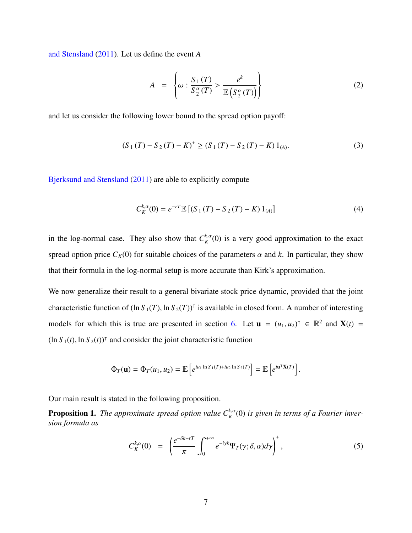[and Stensland](#page-36-0) [\(2011\)](#page-36-0). Let us define the event *A*

<span id="page-7-1"></span>
$$
A = \left\{ \omega : \frac{S_1(T)}{S_2^{\alpha}(T)} > \frac{e^k}{\mathbb{E}\left(S_2^{\alpha}(T)\right)} \right\} \tag{2}
$$

and let us consider the following lower bound to the spread option payoff:

$$
(S_1(T) - S_2(T) - K)^{+} \ge (S_1(T) - S_2(T) - K) 1_{(A)}.
$$
 (3)

[Bjerksund and Stensland](#page-36-0) [\(2011\)](#page-36-0) are able to explicitly compute

<span id="page-7-3"></span>
$$
C_K^{k,\alpha}(0) = e^{-rT} \mathbb{E} \left[ (S_1(T) - S_2(T) - K) 1_{(A)} \right]
$$
 (4)

in the log-normal case. They also show that  $C_K^{k,\alpha}(0)$  is a very good approximation to the exact spread option price  $C_K(0)$  for suitable choices of the parameters  $\alpha$  and  $k$ . In particular, they show that their formula in the log-normal setup is more accurate than Kirk's approximation.

We now generalize their result to a general bivariate stock price dynamic, provided that the joint characteristic function of  $(\ln S_1(T), \ln S_2(T))^T$  is available in closed form. A number of interesting models for which this is true are presented in section [6.](#page-21-0) Let  $\mathbf{u} = (u_1, u_2)^\top \in \mathbb{R}^2$  and  $\mathbf{X}(t) =$  $(\ln S_1(t), \ln S_2(t))^T$  and consider the joint characteristic function

$$
\Phi_T(\mathbf{u}) = \Phi_T(u_1, u_2) = \mathbb{E}\left[e^{iu_1 \ln S_1(T) + iu_2 \ln S_2(T)}\right] = \mathbb{E}\left[e^{i\mathbf{u}^\mathsf{T}\mathbf{X}(T)}\right]
$$

Our main result is stated in the following proposition.

**Proposition 1.** The approximate spread option value  $C_K^{k,\alpha}(0)$  is given in terms of a Fourier inver*sion formula as*

<span id="page-7-2"></span><span id="page-7-0"></span>
$$
C_K^{k,\alpha}(0) = \left(\frac{e^{-\delta k - rT}}{\pi} \int_0^{+\infty} e^{-i\gamma k} \Psi_T(\gamma;\delta,\alpha) d\gamma\right)^+, \tag{5}
$$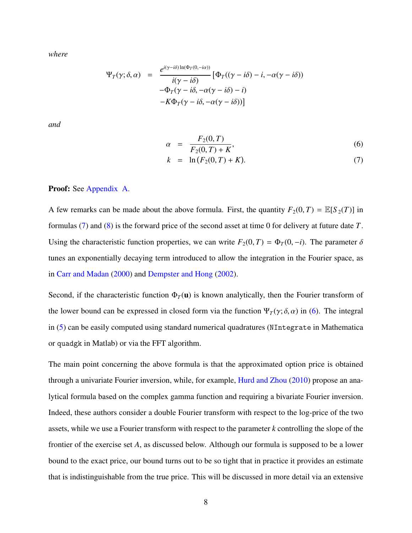*where*

$$
\Psi_T(\gamma; \delta, \alpha) = \frac{e^{i(\gamma - i\delta)\ln(\Phi_T(0, -i\alpha))}}{i(\gamma - i\delta)} \left[ \Phi_T((\gamma - i\delta) - i, -\alpha(\gamma - i\delta)) -\Phi_T(\gamma - i\delta, -\alpha(\gamma - i\delta) - i) -K\Phi_T(\gamma - i\delta, -\alpha(\gamma - i\delta)) \right]
$$

*and*

<span id="page-8-0"></span>
$$
\alpha = \frac{F_2(0, T)}{F_2(0, T) + K},
$$
\n
$$
k = \ln(F_1(0, T) + K)
$$
\n(7)

$$
k = \ln(F_2(0, T) + K). \tag{7}
$$

#### Proof: See [Appendix A.](#page-32-1)

A few remarks can be made about the above formula. First, the quantity  $F_2(0, T) = \mathbb{E}[S_2(T)]$  in formulas [\(7\)](#page-1-0) and [\(8\)](#page-1-0) is the forward price of the second asset at time 0 for delivery at future date *T*. Using the characteristic function properties, we can write  $F_2(0, T) = \Phi_T(0, -i)$ . The parameter  $\delta$ tunes an exponentially decaying term introduced to allow the integration in the Fourier space, as in [Carr and Madan](#page-36-4) [\(2000\)](#page-36-4) and [Dempster and Hong](#page-37-8) [\(2002\)](#page-37-8).

Second, if the characteristic function  $\Phi_T(\mathbf{u})$  is known analytically, then the Fourier transform of the lower bound can be expressed in closed form via the function  $\Psi_T(\gamma; \delta, \alpha)$  in [\(6\)](#page-8-0). The integral in [\(5\)](#page-7-0) can be easily computed using standard numerical quadratures (NIntegrate in Mathematica or quadgk in Matlab) or via the FFT algorithm.

The main point concerning the above formula is that the approximated option price is obtained through a univariate Fourier inversion, while, for example, [Hurd and Zhou](#page-38-5) [\(2010\)](#page-38-5) propose an analytical formula based on the complex gamma function and requiring a bivariate Fourier inversion. Indeed, these authors consider a double Fourier transform with respect to the log-price of the two assets, while we use a Fourier transform with respect to the parameter *k* controlling the slope of the frontier of the exercise set *A*, as discussed below. Although our formula is supposed to be a lower bound to the exact price, our bound turns out to be so tight that in practice it provides an estimate that is indistinguishable from the true price. This will be discussed in more detail via an extensive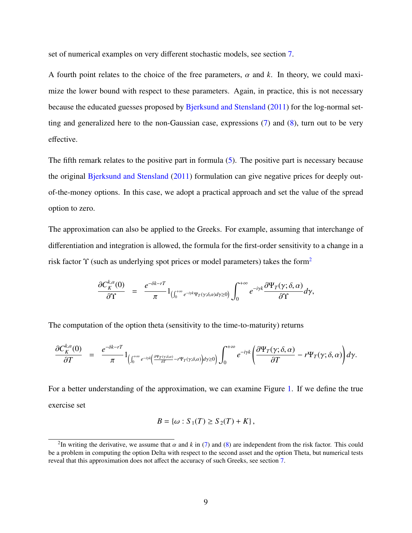set of numerical examples on very different stochastic models, see section [7.](#page-29-0)

A fourth point relates to the choice of the free parameters,  $\alpha$  and  $k$ . In theory, we could maximize the lower bound with respect to these parameters. Again, in practice, this is not necessary because the educated guesses proposed by [Bjerksund and Stensland](#page-36-0) [\(2011\)](#page-36-0) for the log-normal setting and generalized here to the non-Gaussian case, expressions [\(7\)](#page-1-0) and [\(8\)](#page-1-0), turn out to be very effective.

The fifth remark relates to the positive part in formula [\(5\)](#page-7-0). The positive part is necessary because the original [Bjerksund and Stensland](#page-36-0) [\(2011\)](#page-36-0) formulation can give negative prices for deeply outof-the-money options. In this case, we adopt a practical approach and set the value of the spread option to zero.

The approximation can also be applied to the Greeks. For example, assuming that interchange of differentiation and integration is allowed, the formula for the first-order sensitivity to a change in a risk factor  $\Upsilon$  (such as underlying spot prices or model parameters) takes the form<sup>[2](#page-1-0)</sup>

$$
\frac{\partial C_K^{k,\alpha}(0)}{\partial \Upsilon} = \frac{e^{-\delta k - rT}}{\pi} 1_{\left(\int_0^{+\infty} e^{-i\gamma k} \Psi_T(\gamma;\delta,\alpha) d\gamma \geq 0\right)} \int_0^{+\infty} e^{-i\gamma k} \frac{\partial \Psi_T(\gamma;\delta,\alpha)}{\partial \Upsilon} d\gamma,
$$

The computation of the option theta (sensitivity to the time-to-maturity) returns

$$
\frac{\partial C_K^{k,\alpha}(0)}{\partial T} = \frac{e^{-\delta k - rT}}{\pi} 1_{\left(\int_0^{+\infty} e^{-iyk} \left(\frac{\partial \Psi_T(\gamma,\delta,\alpha)}{\partial T} - r\Psi_T(\gamma,\delta,\alpha)\right)dy\geq 0\right)} \int_0^{+\infty} e^{-iyk} \left(\frac{\partial \Psi_T(\gamma,\delta,\alpha)}{\partial T} - r\Psi_T(\gamma,\delta,\alpha)\right)dy.
$$

For a better understanding of the approximation, we can examine Figure [1.](#page-10-0) If we define the true exercise set

$$
B = \{ \omega : S_1(T) \ge S_2(T) + K \},\
$$

<sup>&</sup>lt;sup>2</sup>In writing the derivative, we assume that  $\alpha$  and  $k$  in [\(7\)](#page-1-0) and [\(8\)](#page-1-0) are independent from the risk factor. This could<br>a problem in computing the option Delta with respect to the second asset and the option Theta, but be a problem in computing the option Delta with respect to the second asset and the option Theta, but numerical tests reveal that this approximation does not affect the accuracy of such Greeks, see section [7.](#page-29-0)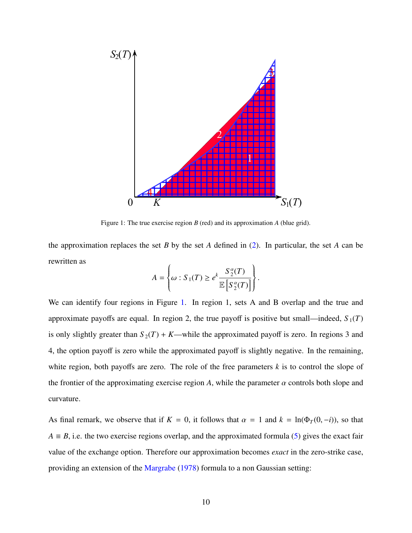

<span id="page-10-0"></span>Figure 1: The true exercise region *B* (red) and its approximation *A* (blue grid).

the approximation replaces the set *B* by the set *A* defined in [\(2\)](#page-7-1). In particular, the set *A* can be rewritten as

$$
A = \left\{\omega : S_1(T) \ge e^k \frac{S_2^{\alpha}(T)}{\mathbb{E}\left[S_2^{\alpha}(T)\right]}\right\}.
$$

We can identify four regions in Figure [1.](#page-10-0) In region 1, sets A and B overlap and the true and approximate payoffs are equal. In region 2, the true payoff is positive but small—indeed,  $S_1(T)$ is only slightly greater than  $S_2(T) + K$ —while the approximated payoff is zero. In regions 3 and 4, the option payoff is zero while the approximated payoff is slightly negative. In the remaining, white region, both payoffs are zero. The role of the free parameters *k* is to control the slope of the frontier of the approximating exercise region *A*, while the parameter  $\alpha$  controls both slope and curvature.

As final remark, we observe that if  $K = 0$ , it follows that  $\alpha = 1$  and  $k = \ln(\Phi_T(0, -i))$ , so that  $A \equiv B$ , i.e. the two exercise regions overlap, and the approximated formula [\(5\)](#page-7-0) gives the exact fair value of the exchange option. Therefore our approximation becomes *exact* in the zero-strike case, providing an extension of the [Margrabe](#page-38-0) [\(1978\)](#page-38-0) formula to a non Gaussian setting: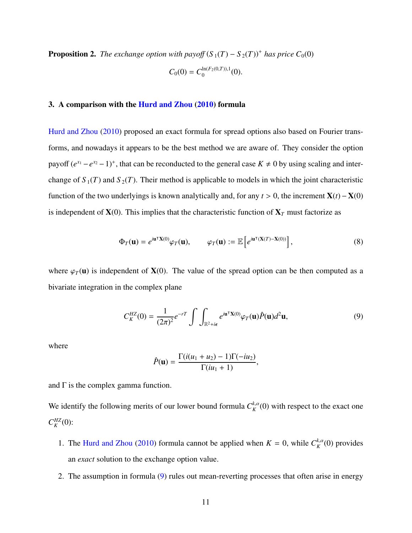**Proposition 2.** *The exchange option with payoff*  $(S_1(T) - S_2(T))^+$  *has price*  $C_0(0)$  $\ln(F_2(0,T))$  1

$$
C_0(0) = C_0^{\ln(F_2(0,1)),1}(0).
$$

#### <span id="page-11-0"></span>3. A comparison with the [Hurd and Zhou](#page-38-5) [\(2010\)](#page-38-5) formula

[Hurd and Zhou](#page-38-5) [\(2010\)](#page-38-5) proposed an exact formula for spread options also based on Fourier transforms, and nowadays it appears to be the best method we are aware of. They consider the option payoff  $(e^{x_1} - e^{x_2} - 1)^+$ , that can be reconducted to the general case  $K \neq 0$  by using scaling and interchange of  $S_1(T)$  and  $S_2(T)$ . Their method is applicable to models in which the joint characteristic function of the two underlyings is known analytically and, for any *<sup>t</sup>* > 0, the increment <sup>X</sup>(*t*)<sup>−</sup> <sup>X</sup>(0) is independent of  $X(0)$ . This implies that the characteristic function of  $X_T$  must factorize as

$$
\Phi_T(\mathbf{u}) = e^{i\mathbf{u}^\mathsf{T} \mathbf{X}(0)} \varphi_T(\mathbf{u}), \qquad \varphi_T(\mathbf{u}) := \mathbb{E}\left[e^{i\mathbf{u}^\mathsf{T}(\mathbf{X}(T) - \mathbf{X}(0))}\right],\tag{8}
$$

where  $\varphi_T(\mathbf{u})$  is independent of **X**(0). The value of the spread option can be then computed as a bivariate integration in the complex plane

<span id="page-11-1"></span>
$$
C_K^{HZ}(0) = \frac{1}{(2\pi)^2} e^{-rT} \int \int_{\mathbb{R}^2 + i\epsilon} e^{i\mathbf{u}^\mathsf{T} \mathbf{X}(0)} \varphi_T(\mathbf{u}) \hat{P}(\mathbf{u}) d^2 \mathbf{u},\tag{9}
$$

where

$$
\hat{P}(\mathbf{u}) = \frac{\Gamma(i(u_1 + u_2) - 1)\Gamma(-iu_2)}{\Gamma(iu_1 + 1)},
$$

and  $\Gamma$  is the complex gamma function.

We identify the following merits of our lower bound formula  $C_K^{k,\alpha}(0)$  with respect to the exact one  $C_K^{HZ}(0)$ :

- 1. The [Hurd and Zhou](#page-38-5) [\(2010\)](#page-38-5) formula cannot be applied when  $K = 0$ , while  $C_K^{k, \alpha}(0)$  provides an *exact* solution to the exchange option value.
- 2. The assumption in formula [\(9\)](#page-11-1) rules out mean-reverting processes that often arise in energy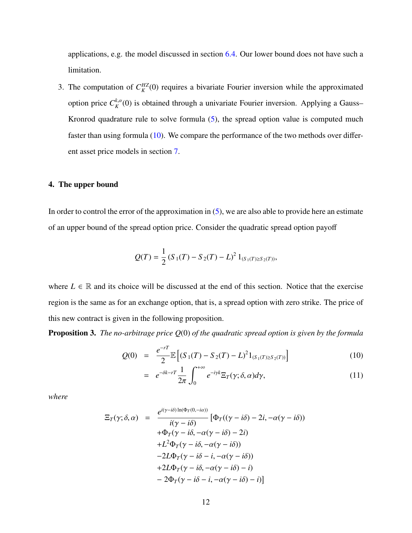applications, e.g. the model discussed in section [6.4.](#page-24-0) Our lower bound does not have such a limitation.

3. The computation of  $C_K^{HZ}(0)$  requires a bivariate Fourier inversion while the approximated option price  $C_K^{k,\alpha}(0)$  is obtained through a univariate Fourier inversion. Applying a Gauss– Kronrod quadrature rule to solve formula [\(5\)](#page-7-0), the spread option value is computed much faster than using formula [\(10\)](#page-1-0). We compare the performance of the two methods over different asset price models in section [7.](#page-29-0)

#### <span id="page-12-0"></span>4. The upper bound

In order to control the error of the approximation in  $(5)$ , we are also able to provide here an estimate of an upper bound of the spread option price. Consider the quadratic spread option payoff

$$
Q(T) = \frac{1}{2} (S_1(T) - S_2(T) - L)^2 1_{(S_1(T) \ge S_2(T))},
$$

where  $L \in \mathbb{R}$  and its choice will be discussed at the end of this section. Notice that the exercise region is the same as for an exchange option, that is, a spread option with zero strike. The price of this new contract is given in the following proposition.

<span id="page-12-1"></span>Proposition 3. *The no-arbitrage price Q*(0) *of the quadratic spread option is given by the formula*

$$
Q(0) = \frac{e^{-rT}}{2} \mathbb{E}\left[ (S_1(T) - S_2(T) - L)^2 1_{(S_1(T) \ge S_2(T))} \right]
$$
(10)

$$
= e^{-\delta k - rT} \frac{1}{2\pi} \int_0^{+\infty} e^{-iyk} \Xi_T(y; \delta, \alpha) d\gamma,
$$
 (11)

*where*

$$
\Xi_T(\gamma;\delta,\alpha) = \frac{e^{i(\gamma-i\delta)\ln(\Phi_T(0,-i\alpha))}}{i(\gamma-i\delta)} \left[\Phi_T((\gamma-i\delta)-2i,-\alpha(\gamma-i\delta))\right] \n+ \Phi_T(\gamma-i\delta,-\alpha(\gamma-i\delta)-2i) \n+ L^2\Phi_T(\gamma-i\delta,-\alpha(\gamma-i\delta)) \n-2L\Phi_T(\gamma-i\delta-i,-\alpha(\gamma-i\delta)) \n+2L\Phi_T(\gamma-i\delta,-\alpha(\gamma-i\delta)-i) \n-2\Phi_T(\gamma-i\delta-i,-\alpha(\gamma-i\delta)-i) \right]
$$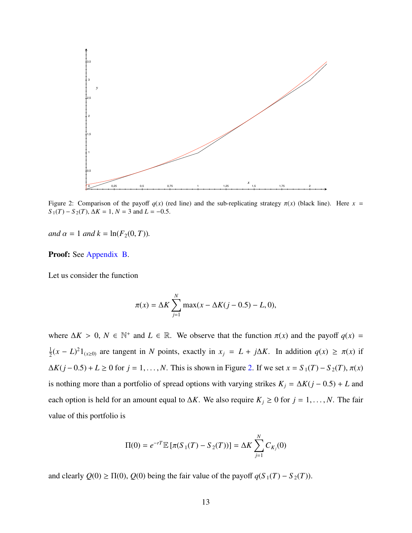

<span id="page-13-0"></span>Figure 2: Comparison of the payoff  $q(x)$  (red line) and the sub-replicating strategy  $\pi(x)$  (black line). Here  $x =$  $S_1(T) - S_2(T)$ ,  $\Delta K = 1$ ,  $N = 3$  and  $L = -0.5$ .

*and*  $\alpha = 1$  *and*  $k = \ln(F_2(0, T))$ *.* 

Proof: See [Appendix B.](#page-34-0)

Let us consider the function

$$
\pi(x) = \Delta K \sum_{j=1}^{N} \max(x - \Delta K(j - 0.5) - L, 0),
$$

where  $\Delta K > 0$ ,  $N \in \mathbb{N}^+$  and  $L \in \mathbb{R}$ . We observe that the function  $\pi(x)$  and the payoff  $q(x) =$ 1  $\frac{1}{2}(x - L)^2 1_{(x \ge 0)}$  are tangent in *N* points, exactly in  $x_j = L + j\Delta K$ . In addition *q*(*x*) ≥  $\pi(x)$  if  $\Delta K(j - 0.5) + L \ge 0$  for *j* = 1, ..., *N*. This is shown in Figure [2.](#page-13-0) If we set *x* = *S*<sub>1</sub>(*T*) − *S*<sub>2</sub>(*T*),  $\pi(x)$ is nothing more than a portfolio of spread options with varying strikes  $K_j = \Delta K(j - 0.5) + L$  and each option is held for an amount equal to  $\Delta K$ . We also require  $K_j \geq 0$  for  $j = 1, ..., N$ . The fair value of this portfolio is

$$
\Pi(0) = e^{-rT} \mathbb{E} \left[ \pi(S_1(T) - S_2(T)) \right] = \Delta K \sum_{j=1}^N C_{K_j}(0)
$$

and clearly  $Q(0) \ge \Pi(0)$ ,  $Q(0)$  being the fair value of the payoff  $q(S_1(T) - S_2(T))$ .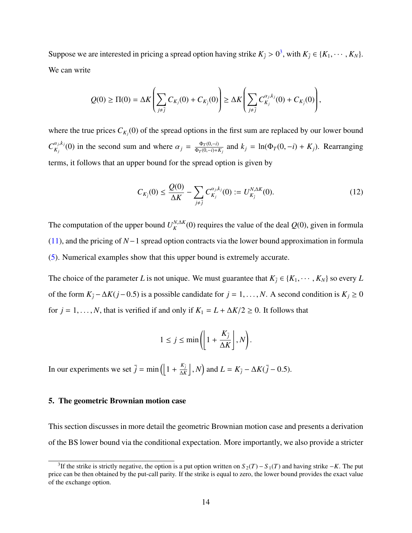Suppose we are interested in pricing a spread option having strike  $K_{\bar{j}} > 0^3$  $K_{\bar{j}} > 0^3$ , with  $K_{\bar{j}} \in \{K_1, \dots, K_N\}$ . We can write

$$
Q(0) \geq \Pi(0) = \Delta K \left( \sum_{j \neq \bar{j}} C_{K_j}(0) + C_{K_{\bar{j}}}(0) \right) \geq \Delta K \left( \sum_{j \neq \bar{j}} C_{K_j}^{\alpha_j, k_j}(0) + C_{K_{\bar{j}}}(0) \right),
$$

where the true prices  $C_{K_j}(0)$  of the spread options in the first sum are replaced by our lower bound  $C_{K_j}^{\alpha_j, k_j}(0)$  in the second sum and where  $\alpha_j = \frac{\Phi_T(0, -i)}{\Phi_T(0, -i) + i}$  $\frac{\Phi_T(0,-i)}{\Phi_T(0,-i)+K_j}$  and  $k_j = \ln(\Phi_T(0,-i) + K_j)$ . Rearranging terms, it follows that an upper bound for the spread option is given by

$$
C_{K_{\bar{j}}}(0) \le \frac{Q(0)}{\Delta K} - \sum_{j \neq \bar{j}} C_{K_j}^{\alpha_j, k_j}(0) := U_{K_{\bar{j}}}^{N, \Delta K}(0). \tag{12}
$$

The computation of the upper bound  $U_K^{N,\Delta K}(0)$  requires the value of the deal  $Q(0)$ , given in formula [\(11\)](#page-1-0), and the pricing of *N*−1 spread option contracts via the lower bound approximation in formula [\(5\)](#page-7-0). Numerical examples show that this upper bound is extremely accurate.

The choice of the parameter *L* is not unique. We must guarantee that  $K_{\bar{j}} \in \{K_1, \dots, K_N\}$  so every *L* of the form  $K_{\bar{j}} - \Delta K(j-0.5)$  is a possible candidate for  $j = 1, ..., N$ . A second condition is  $K_j \ge 0$ for  $j = 1, \ldots, N$ , that is verified if and only if  $K_1 = L + \Delta K/2 \ge 0$ . It follows that

$$
1 \leq j \leq \min\left(\left[1 + \frac{K_{\bar{j}}}{\Delta K}\right], N\right).
$$

In our experiments we set  $\bar{j} = \min \left( \left| 1 + \frac{K_{\bar{j}}}{\Delta k} \right| \right)$  $\left(\frac{K_{\bar{j}}}{\Delta K}\right]$ , *N*) and  $L = K_{\bar{j}} - \Delta K(\bar{j} - 0.5)$ .

#### <span id="page-14-0"></span>5. The geometric Brownian motion case

This section discusses in more detail the geometric Brownian motion case and presents a derivation of the BS lower bound via the conditional expectation. More importantly, we also provide a stricter

<sup>&</sup>lt;sup>3</sup>If the strike is strictly negative, the option is a put option written on  $S_2(T) - S_1(T)$  and having strike  $-K$ . The put price can be then obtained by the put-call parity. If the strike is equal to zero, the lower bound provides the exact value of the exchange option.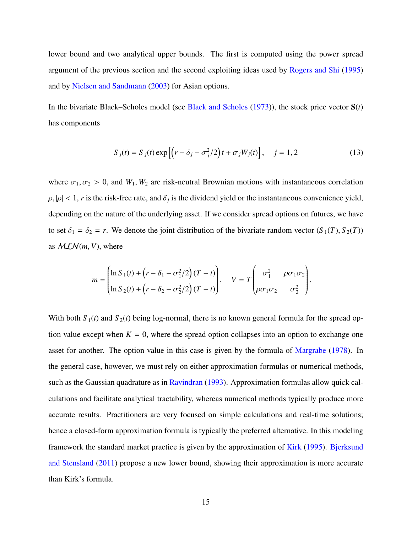lower bound and two analytical upper bounds. The first is computed using the power spread argument of the previous section and the second exploiting ideas used by [Rogers and Shi](#page-39-3) [\(1995\)](#page-39-3) and by [Nielsen and Sandmann](#page-38-8) [\(2003\)](#page-38-8) for Asian options.

In the bivariate Black–Scholes model (see [Black and Scholes](#page-36-5) [\(1973\)](#page-36-5)), the stock price vector S(*t*) has components

$$
S_j(t) = S_j(t) \exp\left[\left(r - \delta_j - \sigma_j^2/2\right)t + \sigma_j W_j(t)\right], \quad j = 1, 2 \tag{13}
$$

where  $\sigma_1, \sigma_2 > 0$ , and  $W_1, W_2$  are risk-neutral Brownian motions with instantaneous correlation  $\rho, |\rho| < 1$ , *r* is the risk-free rate, and  $\delta_j$  is the dividend yield or the instantaneous convenience yield, depending on the nature of the underlying asset. If we consider spread options on futures, we have to set  $\delta_1 = \delta_2 = r$ . We denote the joint distribution of the bivariate random vector  $(S_1(T), S_2(T))$ as  $MLN(m, V)$ , where

$$
m = \begin{pmatrix} \ln S_1(t) + \left(r - \delta_1 - \sigma_1^2/2\right)(T - t) \\ \ln S_2(t) + \left(r - \delta_2 - \sigma_2^2/2\right)(T - t) \end{pmatrix}, \quad V = T \begin{pmatrix} \sigma_1^2 & \rho \sigma_1 \sigma_2 \\ \rho \sigma_1 \sigma_2 & \sigma_2^2 \end{pmatrix},
$$

With both  $S_1(t)$  and  $S_2(t)$  being log-normal, there is no known general formula for the spread option value except when  $K = 0$ , where the spread option collapses into an option to exchange one asset for another. The option value in this case is given by the formula of [Margrabe](#page-38-0) [\(1978\)](#page-38-0). In the general case, however, we must rely on either approximation formulas or numerical methods, such as the Gaussian quadrature as in [Ravindran](#page-39-0) [\(1993\)](#page-39-0). Approximation formulas allow quick calculations and facilitate analytical tractability, whereas numerical methods typically produce more accurate results. Practitioners are very focused on simple calculations and real-time solutions; hence a closed-form approximation formula is typically the preferred alternative. In this modeling framework the standard market practice is given by the approximation of [Kirk](#page-38-4) [\(1995\)](#page-38-4). [Bjerksund](#page-36-0) [and Stensland](#page-36-0) [\(2011\)](#page-36-0) propose a new lower bound, showing their approximation is more accurate than Kirk's formula.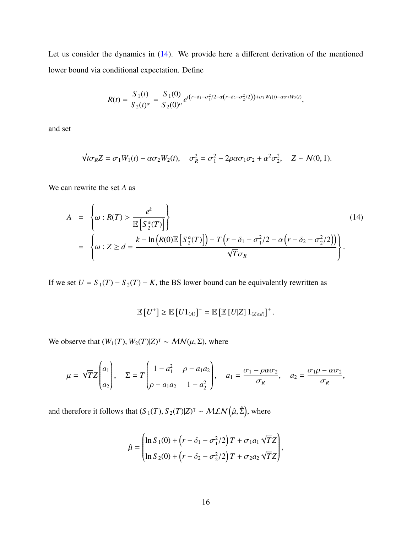Let us consider the dynamics in [\(14\)](#page-16-0). We provide here a different derivation of the mentioned lower bound via conditional expectation. Define

$$
R(t) = \frac{S_1(t)}{S_2(t)^{\alpha}} = \frac{S_1(0)}{S_2(0)^{\alpha}} e^{t(r-\delta_1-\sigma_1^2/2-\alpha(r-\delta_2-\sigma_2^2/2)) + \sigma_1 W_1(t) - \alpha \sigma_2 W_2(t)},
$$

and set

$$
\sqrt{t}\sigma_R Z = \sigma_1 W_1(t) - \alpha \sigma_2 W_2(t), \quad \sigma_R^2 = \sigma_1^2 - 2\rho \alpha \sigma_1 \sigma_2 + \alpha^2 \sigma_2^2, \quad Z \sim \mathcal{N}(0, 1).
$$

We can rewrite the set *A* as

<span id="page-16-0"></span>
$$
A = \left\{\omega : R(T) > \frac{e^k}{\mathbb{E}\left[S_2^{\alpha}(T)\right]}\right\}
$$
\n
$$
= \left\{\omega : Z \ge d = \frac{k - \ln\left(R(0)\mathbb{E}\left[S_2^{\alpha}(T)\right]\right) - T\left(r - \delta_1 - \sigma_1^2/2 - \alpha\left(r - \delta_2 - \sigma_2^2/2\right)\right)}{\sqrt{T}\sigma_R}\right\}.
$$
\n(14)

If we set  $U = S_1(T) - S_2(T) - K$ , the BS lower bound can be equivalently rewritten as

$$
\mathbb{E}[U^+] \geq \mathbb{E}[U1_{(A)}]^+ = \mathbb{E}[\mathbb{E}[U|Z]1_{(Z \geq d)}]^+.
$$

We observe that  $(W_1(T), W_2(T)|Z)^{\dagger} \sim \mathcal{MN}(\mu, \Sigma)$ , where

$$
\mu = \sqrt{T}Z \begin{pmatrix} a_1 \\ a_2 \end{pmatrix}, \quad \Sigma = T \begin{pmatrix} 1 - a_1^2 & \rho - a_1 a_2 \\ \rho - a_1 a_2 & 1 - a_2^2 \end{pmatrix}, \quad a_1 = \frac{\sigma_1 - \rho \alpha \sigma_2}{\sigma_R}, \quad a_2 = \frac{\sigma_1 \rho - \alpha \sigma_2}{\sigma_R},
$$

and therefore it follows that  $(S_1(T), S_2(T)|Z)^T \sim \text{MLN}(\hat{\mu}, \hat{\Sigma})$ , where

$$
\hat{\mu} = \begin{pmatrix} \ln S_1(0) + \left(r - \delta_1 - \sigma_1^2/2\right) T + \sigma_1 a_1 \sqrt{T} Z \\ \ln S_2(0) + \left(r - \delta_2 - \sigma_2^2/2\right) T + \sigma_2 a_2 \sqrt{T} Z \end{pmatrix},
$$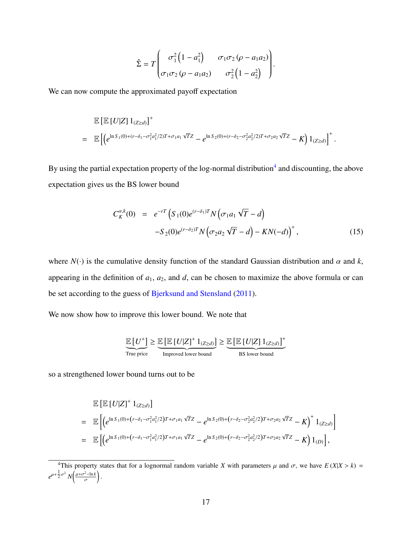$$
\hat{\Sigma} = T \begin{pmatrix} \sigma_1^2 \left(1 - a_1^2\right) & \sigma_1 \sigma_2 \left(\rho - a_1 a_2\right) \\ \sigma_1 \sigma_2 \left(\rho - a_1 a_2\right) & \sigma_2^2 \left(1 - a_2^2\right) \end{pmatrix}
$$

We can now compute the approximated payoff expectation

<span id="page-17-0"></span>
$$
\mathbb{E} \left[ \mathbb{E} \left[ U|Z \right] \mathbb{1}_{(Z \ge d)} \right]^{+}
$$
\n
$$
= \mathbb{E} \left[ \left( e^{\ln S_1(0) + (r - \delta_1 - \sigma_1^2 a_1^2 / 2) T + \sigma_1 a_1 \sqrt{T} Z} - e^{\ln S_2(0) + (r - \delta_2 - \sigma_2^2 a_2^2 / 2) T + \sigma_2 a_2 \sqrt{T} Z} - K \right) \mathbb{1}_{(Z \ge d)} \right]^{+}
$$

By using the partial expectation property of the log-normal distribution<sup>[4](#page-1-0)</sup> and discounting, the above expectation gives us the BS lower bound

$$
C_K^{\alpha,k}(0) = e^{-rT} \left( S_1(0) e^{(r-\delta_1)T} N \left( \sigma_1 a_1 \sqrt{T} - d \right) - S_2(0) e^{(r-\delta_2)T} N \left( \sigma_2 a_2 \sqrt{T} - d \right) - KN(-d) \right)^+, \tag{15}
$$

where  $N(\cdot)$  is the cumulative density function of the standard Gaussian distribution and  $\alpha$  and  $k$ , appearing in the definition of  $a_1$ ,  $a_2$ , and  $d$ , can be chosen to maximize the above formula or can be set according to the guess of [Bjerksund and Stensland](#page-36-0) [\(2011\)](#page-36-0).

We now show how to improve this lower bound. We note that

$$
\underbrace{\mathbb{E}\left[U^{+}\right]}_{\text{True price}} \geq \underbrace{\mathbb{E}\left[\mathbb{E}\left[U|Z\right]^{+}1_{(Z \geq d)}\right]}_{\text{Improved lower bound}} \geq \underbrace{\mathbb{E}\left[\mathbb{E}\left[U|Z\right]1_{(Z \geq d)}\right]}_{\text{BS lower bound}}
$$

so a strengthened lower bound turns out to be

$$
\mathbb{E}\left[\mathbb{E}\left[U|Z\right]^{+}1_{(Z\geq d)}\right]
$$
\n
$$
= \mathbb{E}\left[\left(e^{\ln S_{1}(0)+\left(r-\delta_{1}-\sigma_{1}^{2}a_{1}^{2}/2\right)T+\sigma_{1}a_{1}\sqrt{T}Z}-e^{\ln S_{2}(0)+\left(r-\delta_{2}-\sigma_{2}^{2}a_{2}^{2}/2\right)T+\sigma_{2}a_{2}\sqrt{T}Z}-K\right)^{+}1_{(Z\geq d)}\right]
$$
\n
$$
= \mathbb{E}\left[\left(e^{\ln S_{1}(0)+\left(r-\delta_{1}-\sigma_{1}^{2}a_{1}^{2}/2\right)T+\sigma_{1}a_{1}\sqrt{T}Z}-e^{\ln S_{2}(0)+\left(r-\delta_{2}-\sigma_{2}^{2}a_{2}^{2}/2\right)T+\sigma_{2}a_{2}\sqrt{T}Z}-K\right)1_{(D)}\right],
$$

<sup>&</sup>lt;sup>4</sup>This property states that for a lognormal random variable *X* with parameters  $\mu$  and  $\sigma$ , we have  $E(X|X > k) = \frac{1}{\sigma^2} \left( \mu x^2 - \ln k \right)$  $e^{\mu+\frac{1}{2}\sigma^2}N\left(\frac{\mu+\sigma^2-\ln k}{\sigma}\right)$ ١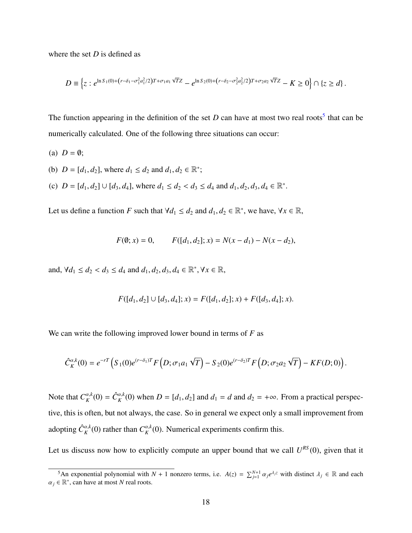where the set *D* is defined as

$$
D \equiv \left\{ z : e^{\ln S_1(0) + \left(r - \delta_1 - \sigma_1^2 a_1^2/2\right) T + \sigma_1 a_1 \sqrt{T} Z} - e^{\ln S_2(0) + \left(r - \delta_2 - \sigma_2^2 a_2^2/2\right) T + \sigma_2 a_2 \sqrt{T} Z} - K \ge 0 \right\} \cap \left\{ z \ge d \right\}.
$$

The function appearing in the definition of the set  $D$  can have at most two real roots<sup>[5](#page-1-0)</sup> that can be numerically calculated. One of the following three situations can occur:

(a)  $D = \emptyset$ ; (b)  $D = [d_1, d_2]$ , where  $d_1 \leq d_2$  and  $d_1, d_2 \in \mathbb{R}^*$ ; (c)  $D = [d_1, d_2] \cup [d_3, d_4]$ , where  $d_1 \leq d_2 < d_3 \leq d_4$  and  $d_1, d_2, d_3, d_4 \in \mathbb{R}^*$ .

Let us define a function *F* such that  $\forall d_1 \leq d_2$  and  $d_1, d_2 \in \mathbb{R}^*$ , we have,  $\forall x \in \mathbb{R}$ ,

$$
F(\emptyset; x) = 0, \qquad F([d_1, d_2]; x) = N(x - d_1) - N(x - d_2),
$$

and,  $\forall d_1 \leq d_2 < d_3 \leq d_4$  and  $d_1, d_2, d_3, d_4 \in \mathbb{R}^*, \forall x \in \mathbb{R},$ 

$$
F([d_1, d_2] \cup [d_3, d_4]; x) = F([d_1, d_2]; x) + F([d_3, d_4]; x).
$$

We can write the following improved lower bound in terms of *F* as

$$
\hat{C}_{K}^{\alpha,k}(0) = e^{-rT} \left( S_1(0) e^{(r-\delta_1)T} F\left( D; \sigma_1 a_1 \sqrt{T} \right) - S_2(0) e^{(r-\delta_2)T} F\left( D; \sigma_2 a_2 \sqrt{T} \right) - K F(D;0) \right).
$$

Note that  $C_K^{\alpha,k}(0) = \hat{C}_K^{\alpha,k}(0)$  when  $D = [d_1, d_2]$  and  $d_1 = d$  and  $d_2 = +\infty$ . From a practical perspective, this is often, but not always, the case. So in general we expect only a small improvement from adopting  $\hat{C}_K^{\alpha,k}(0)$  rather than  $C_K^{\alpha,k}(0)$ . Numerical experiments confirm this.

Let us discuss now how to explicitly compute an upper bound that we call  $U^{RS}(0)$ , given that it

<sup>&</sup>lt;sup>5</sup>An exponential polynomial with *N* + 1 nonzero terms, i.e.  $A(z) = \sum_{j=1}^{N+1} \alpha_j e^{\lambda_j z}$  with distinct  $\lambda_j \in \mathbb{R}$  and each  $\in \mathbb{R}^*$  can have at most *N* real roots  $\alpha_j \in \mathbb{R}^*$ , can have at most *N* real roots.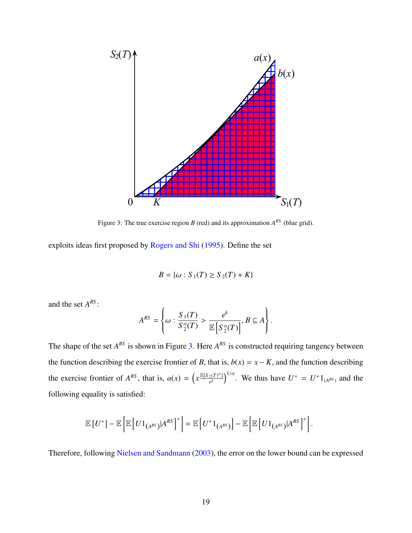

<span id="page-19-0"></span>Figure 3: The true exercise region  $B$  (red) and its approximation  $A^{RS}$  (blue grid).

exploits ideas first proposed by [Rogers and Shi](#page-39-3) [\(1995\)](#page-39-3). Define the set

$$
B = \{ \omega : S_1(T) \ge S_2(T) + K \}
$$

and the set *A RS* :

$$
A^{RS} = \left\{ \omega : \frac{S_1(T)}{S_2^{\alpha}(T)} > \frac{e^k}{\mathbb{E}\left[S_2^{\alpha}(T)\right]}, B \subseteq A \right\}.
$$

The shape of the set  $A^{RS}$  is shown in Figure [3.](#page-19-0) Here  $A^{RS}$  is constructed requiring tangency between the function describing the exercise frontier of *B*, that is,  $b(x) = x - K$ , and the function describing the exercise frontier of  $A^{RS}$ , that is,  $a(x) = \left(x \frac{\mathbb{E}[S_2(T)^{\alpha}]}{e^k}\right)$  $\left[ e^{(X)^{\alpha}} \right]^{1/\alpha}$ . We thus have  $U^{+} = U^{+} 1_{(A^{RS})}$  and the following equality is satisfied:

$$
\mathbb{E}\left[U^+\right]-\mathbb{E}\left[\mathbb{E}\left[U1_{(A^{RS})}|A^{RS}\right]^+\right]=\mathbb{E}\left[U^+1_{(A^{RS})}\right]-\mathbb{E}\left[\mathbb{E}\left[U1_{(A^{RS})}|A^{RS}\right]^+\right].
$$

Therefore, following [Nielsen and Sandmann](#page-38-8) [\(2003\)](#page-38-8), the error on the lower bound can be expressed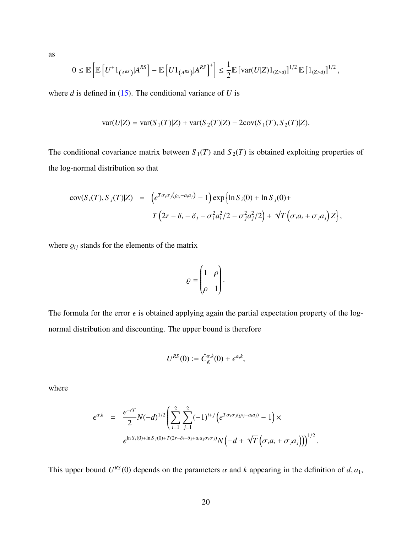as

$$
0 \leq \mathbb{E}\left[\mathbb{E}\left[U^+1_{(A^{RS})}|A^{RS}\right] - \mathbb{E}\left[U1_{(A^{RS})}|A^{RS}\right]^+\right] \leq \frac{1}{2}\mathbb{E}\left[\text{var}(U|Z)1_{(Z>d)}\right]^{1/2}\mathbb{E}\left[1_{(Z>d)}\right]^{1/2},
$$

where  $d$  is defined in [\(15\)](#page-17-0). The conditional variance of  $U$  is

$$
var(U|Z) = var(S_1(T)|Z) + var(S_2(T)|Z) - 2cov(S_1(T), S_2(T)|Z).
$$

The conditional covariance matrix between  $S_1(T)$  and  $S_2(T)$  is obtained exploiting properties of the log-normal distribution so that

$$
cov(S_i(T), S_j(T)|Z) = (e^{T\sigma_i \sigma_j(\varrho_{ij}-a_i a_j)} - 1) exp\left\{\ln S_i(0) + \ln S_j(0) + T\left(2r - \delta_i - \delta_j - \sigma_i^2 a_i^2/2 - \sigma_j^2 a_j^2/2\right) + \sqrt{T}\left(\sigma_i a_i + \sigma_j a_j\right)Z\right\},\,
$$

where  $\rho_{ij}$  stands for the elements of the matrix

$$
\varrho = \begin{pmatrix} 1 & \rho \\ \rho & 1 \end{pmatrix}.
$$

The formula for the error  $\epsilon$  is obtained applying again the partial expectation property of the lognormal distribution and discounting. The upper bound is therefore

$$
U^{RS}(0) := \hat{C}_K^{\alpha,k}(0) + \epsilon^{\alpha,k},
$$

where

$$
\epsilon^{\alpha,k} = \frac{e^{-rT}}{2} N(-d)^{1/2} \left( \sum_{i=1}^{2} \sum_{j=1}^{2} (-1)^{i+j} \left( e^{T \sigma_i \sigma_j(\varrho_{ij} - a_i a_j)} - 1 \right) \times e^{\ln S_i(0) + \ln S_j(0) + T(2r - \delta_i - \delta_j + a_i a_j \sigma_i \sigma_j)} N\left( -d + \sqrt{T} \left( \sigma_i a_i + \sigma_j a_j \right) \right) \right)^{1/2}
$$

This upper bound  $U^{RS}(0)$  depends on the parameters  $\alpha$  and  $k$  appearing in the definition of  $d, a_1$ ,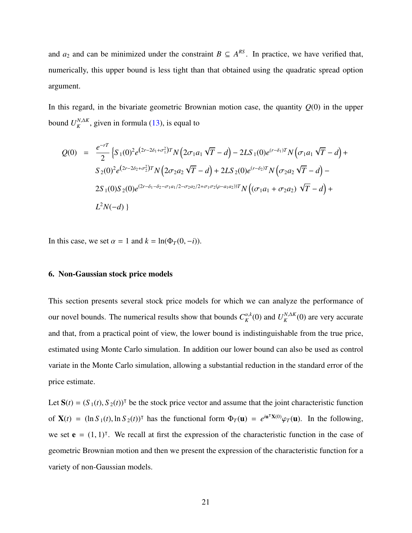and  $a_2$  and can be minimized under the constraint  $B \subseteq A^{RS}$ . In practice, we have verified that, numerically, this upper bound is less tight than that obtained using the quadratic spread option argument.

In this regard, in the bivariate geometric Brownian motion case, the quantity  $Q(0)$  in the upper bound  $U_K^{N,\Delta K}$ , given in formula [\(13\)](#page-1-0), is equal to

$$
Q(0) = \frac{e^{-rT}}{2} \left\{ S_1(0)^2 e^{(2r-2\delta_1 + \sigma_1^2)T} N \left( 2\sigma_1 a_1 \sqrt{T} - d \right) - 2LS_1(0) e^{(r-\delta_1)T} N \left( \sigma_1 a_1 \sqrt{T} - d \right) + S_2(0)^2 e^{(2r-2\delta_2 + \sigma_2^2)T} N \left( 2\sigma_2 a_2 \sqrt{T} - d \right) + 2LS_2(0) e^{(r-\delta_2)T} N \left( \sigma_2 a_2 \sqrt{T} - d \right) - 2S_1(0) S_2(0) e^{(2r-\delta_1 - \delta_2 - \sigma_1 a_1/2 - \sigma_2 a_2/2 + \sigma_1 \sigma_2 (\rho - a_1 a_2))T} N \left( (\sigma_1 a_1 + \sigma_2 a_2) \sqrt{T} - d \right) + L^2 N(-d)
$$

In this case, we set  $\alpha = 1$  and  $k = \ln(\Phi_T(0, -i))$ .

#### <span id="page-21-0"></span>6. Non-Gaussian stock price models

This section presents several stock price models for which we can analyze the performance of our novel bounds. The numerical results show that bounds  $C_K^{\alpha,k}(0)$  and  $U_K^{N,\Delta K}(0)$  are very accurate and that, from a practical point of view, the lower bound is indistinguishable from the true price, estimated using Monte Carlo simulation. In addition our lower bound can also be used as control variate in the Monte Carlo simulation, allowing a substantial reduction in the standard error of the price estimate.

Let  $S(t) = (S_1(t), S_2(t))$ <sup>T</sup> be the stock price vector and assume that the joint characteristic function of  $\mathbf{X}(t) = (\ln S_1(t), \ln S_2(t))^T$  has the functional form  $\Phi_T(\mathbf{u}) = e^{i\mathbf{u}^T \mathbf{X}(0)} \varphi_T(\mathbf{u})$ . In the following, we set  $\mathbf{e} = (1, 1)^T$ . We recall at first the expression of the characteristic function in the case of geometric Brownian motion and then we present the expression of the characteristic function for a variety of non-Gaussian models.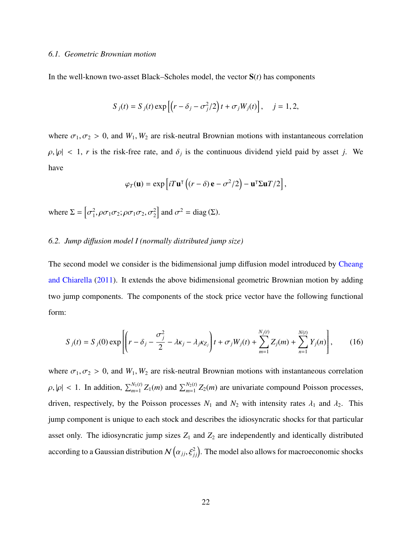#### *6.1. Geometric Brownian motion*

In the well-known two-asset Black–Scholes model, the vector  $S(t)$  has components

$$
S_j(t) = S_j(t) \exp\left[\left(r - \delta_j - \sigma_j^2/2\right)t + \sigma_j W_j(t)\right], \quad j = 1, 2,
$$

where  $\sigma_1, \sigma_2 > 0$ , and  $W_1, W_2$  are risk-neutral Brownian motions with instantaneous correlation  $\rho, |\rho| < 1$ , *r* is the risk-free rate, and  $\delta_j$  is the continuous dividend yield paid by asset *j*. We have

$$
\varphi_T(\mathbf{u}) = \exp\left[iT\mathbf{u}^\mathsf{T}\left((r-\delta)\mathbf{e} - \sigma^2/2\right) - \mathbf{u}^\mathsf{T} \Sigma \mathbf{u} T/2\right],
$$

where  $\Sigma = \left[ \right]$ 2  $\left[ \rho_1^2, \rho_2, \rho_3, \rho_5, \rho_7, \rho_2^2 \right]$  and  $\sigma^2 = \text{diag}(\Sigma)$ .

#### <span id="page-22-0"></span>*6.2. Jump di*ff*usion model I (normally distributed jump size)*

The second model we consider is the bidimensional jump diffusion model introduced by [Cheang](#page-37-9) [and Chiarella](#page-37-9) [\(2011\)](#page-37-9). It extends the above bidimensional geometric Brownian motion by adding two jump components. The components of the stock price vector have the following functional form:

$$
S_j(t) = S_j(0) \exp\left[ \left( r - \delta_j - \frac{\sigma_j^2}{2} - \lambda \kappa_j - \lambda_j \kappa_{Z_j} \right) t + \sigma_j W_j(t) + \sum_{m=1}^{N_j(t)} Z_j(m) + \sum_{n=1}^{N(t)} Y_j(n) \right],
$$
 (16)

where  $\sigma_1, \sigma_2 > 0$ , and  $W_1, W_2$  are risk-neutral Brownian motions with instantaneous correlation  $\rho, |\rho| < 1$ . In addition,  $\sum_{m=1}^{N_1(t)} Z_1(m)$  and  $\sum_{m=1}^{N_2(t)} Z_2(m)$  are univariate compound Poisson processes, driven, respectively, by the Poisson processes  $N_1$  and  $N_2$  with intensity rates  $\lambda_1$  and  $\lambda_2$ . This jump component is unique to each stock and describes the idiosyncratic shocks for that particular asset only. The idiosyncratic jump sizes  $Z_1$  and  $Z_2$  are independently and identically distributed according to a Gaussian distribution  $\mathcal{N}\left(\alpha_{jj}, \xi_{jj}^2\right)$ . The model also allows for macroeconomic shocks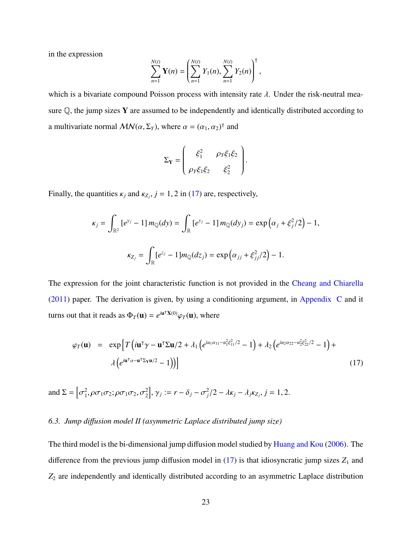in the expression

$$
\sum_{n=1}^{N(t)} \mathbf{Y}(n) = \left( \sum_{n=1}^{N(t)} Y_1(n), \sum_{n=1}^{N(t)} Y_2(n) \right)^{\mathsf{T}},
$$

which is a bivariate compound Poisson process with intensity rate  $\lambda$ . Under the risk-neutral measure  $Q$ , the jump sizes Y are assumed to be independently and identically distributed according to a multivariate normal  $MN(\alpha, \Sigma_Y)$ , where  $\alpha = (\alpha_1, \alpha_2)^T$  and

$$
\Sigma_{\mathbf{Y}} = \begin{pmatrix} \xi_1^2 & \rho_Y \xi_1 \xi_2 \\ \rho_Y \xi_1 \xi_2 & \xi_2^2 \end{pmatrix}.
$$

Finally, the quantities  $\kappa_j$  and  $\kappa_{Z_j}$ ,  $j = 1, 2$  in [\(17\)](#page-23-0) are, respectively,

$$
\kappa_j = \int_{\mathbb{R}^2} \left[ e^{y_j} - 1 \right] m_{\mathbb{Q}}(dy) = \int_{\mathbb{R}} \left[ e^{y_j} - 1 \right] m_{\mathbb{Q}}(dy_j) = \exp \left( \alpha_j + \xi_j^2 / 2 \right) - 1,
$$
  

$$
\kappa_{Z_j} = \int_{\mathbb{R}} \left[ e^{z_j} - 1 \right] m_{\mathbb{Q}}(dz_j) = \exp \left( \alpha_{jj} + \xi_{jj}^2 / 2 \right) - 1.
$$

The expression for the joint characteristic function is not provided in the [Cheang and Chiarella](#page-37-9)  $(2011)$  paper. The derivation is given, by using a conditioning argument, in [Appendix C](#page-35-0) and it turns out that it reads as  $\Phi_T(\mathbf{u}) = e^{i\mathbf{u}^\mathsf{T}\mathbf{X}(0)}\varphi_T(\mathbf{u})$ , where

<span id="page-23-0"></span>
$$
\varphi_T(\mathbf{u}) = \exp\left[T\left(i\mathbf{u}^\mathsf{T}\gamma - \mathbf{u}^\mathsf{T}\Sigma\mathbf{u}/2 + \lambda_1\left(e^{iu_1\alpha_{11} - u_1^2\xi_{11}^2/2} - 1\right) + \lambda_2\left(e^{iu_2\alpha_{22} - u_2^2\xi_{22}^2/2} - 1\right) + \lambda\left(e^{iu_1\alpha_{11} - u_1^2\Sigma_{\mathsf{T}}\mathbf{u}/2} - 1\right)\right)\right]
$$
(17)

and 
$$
\Sigma = [\sigma_1^2, \rho \sigma_1 \sigma_2; \rho \sigma_1 \sigma_2, \sigma_2^2], \gamma_j := r - \delta_j - \sigma_j^2/2 - \lambda \kappa_j - \lambda_j \kappa_{Z_j}, j = 1, 2.
$$

#### <span id="page-23-1"></span>*6.3. Jump di*ff*usion model II (asymmetric Laplace distributed jump size)*

The third model is the bi-dimensional jump diffusion model studied by [Huang and Kou](#page-38-9) [\(2006\)](#page-38-9). The difference from the previous jump diffusion model in  $(17)$  is that idiosyncratic jump sizes  $Z_1$  and *Z*<sup>2</sup> are independently and identically distributed according to an asymmetric Laplace distribution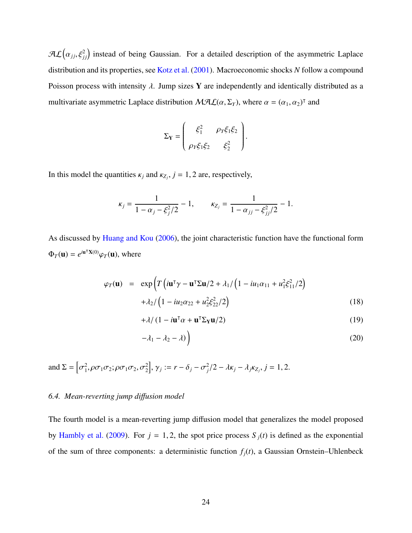$\mathcal{AL}\big(\alpha_{jj}, \xi_{jj}^2\big)$  instead of being Gaussian. For a detailed description of the asymmetric Laplace distribution and its properties, see [Kotz et al.](#page-38-10) [\(2001\)](#page-38-10). Macroeconomic shocks *N* follow a compound Poisson process with intensity  $\lambda$ . Jump sizes Y are independently and identically distributed as a multivariate asymmetric Laplace distribution  $MAL(\alpha, \Sigma_Y)$ , where  $\alpha = (\alpha_1, \alpha_2)^\dagger$  and

$$
\Sigma_{\mathbf{Y}} = \begin{pmatrix} \xi_1^2 & \rho_Y \xi_1 \xi_2 \\ \rho_Y \xi_1 \xi_2 & \xi_2^2 \end{pmatrix}
$$

In this model the quantities  $\kappa_j$  and  $\kappa_{Z_j}$ ,  $j = 1, 2$  are, respectively,

$$
\kappa_j = \frac{1}{1 - \alpha_j - \xi_j^2/2} - 1, \qquad \kappa_{Z_j} = \frac{1}{1 - \alpha_{jj} - \xi_{jj}^2/2} - 1.
$$

As discussed by [Huang and Kou](#page-38-9) [\(2006\)](#page-38-9), the joint characteristic function have the functional form  $\Phi_T(\mathbf{u}) = e^{i\mathbf{u}^\mathsf{T}\mathbf{X}(0)}\varphi_T(\mathbf{u}),$  where

<span id="page-24-1"></span>
$$
\varphi_T(\mathbf{u}) = \exp\left(T\left(i\mathbf{u}^\top\gamma - \mathbf{u}^\top \Sigma \mathbf{u}/2 + \lambda_1/\left(1 - iu_1\alpha_{11} + u_1^2 \xi_{11}^2/2\right) + \lambda_2/\left(1 - iu_2\alpha_{22} + u_2^2 \xi_{22}^2/2\right)\right)
$$
(18)

$$
+\lambda/(1 - i\mathbf{u}^{\mathsf{T}}\alpha + \mathbf{u}^{\mathsf{T}}\Sigma_{\mathbf{Y}}\mathbf{u}/2)
$$
 (19)

$$
-\lambda_1 - \lambda_2 - \lambda) \tag{20}
$$

and 
$$
\Sigma = [\sigma_1^2, \rho \sigma_1 \sigma_2; \rho \sigma_1 \sigma_2, \sigma_2^2], \gamma_j := r - \delta_j - \sigma_j^2/2 - \lambda \kappa_j - \lambda_j \kappa_{Z_j}, j = 1, 2.
$$

#### <span id="page-24-0"></span>*6.4. Mean-reverting jump di*ff*usion model*

The fourth model is a mean-reverting jump diffusion model that generalizes the model proposed by [Hambly et al.](#page-37-10) [\(2009\)](#page-37-10). For  $j = 1, 2$ , the spot price process  $S_j(t)$  is defined as the exponential of the sum of three components: a deterministic function  $f_i(t)$ , a Gaussian Ornstein–Uhlenbeck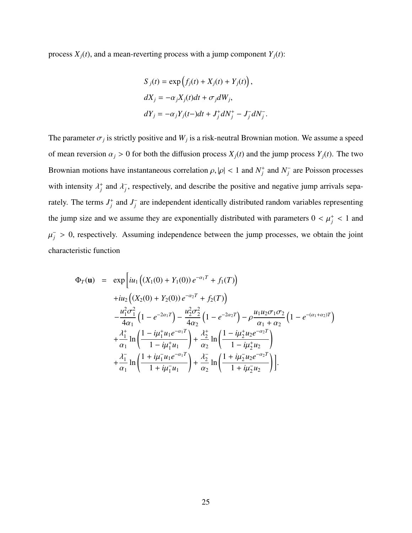process  $X_i(t)$ , and a mean-reverting process with a jump component  $Y_i(t)$ :

$$
S_j(t) = \exp\left(f_j(t) + X_j(t) + Y_j(t)\right),
$$
  
\n
$$
dX_j = -\alpha_j X_j(t)dt + \sigma_j dW_j,
$$
  
\n
$$
dY_j = -\alpha_j Y_j(t-)dt + J_j^+ dN_j^+ - J_j^- dN_j^-
$$

The parameter  $\sigma_j$  is strictly positive and  $W_j$  is a risk-neutral Brownian motion. We assume a speed of mean reversion  $\alpha_j > 0$  for both the diffusion process  $X_j(t)$  and the jump process  $Y_j(t)$ . The two Brownian motions have instantaneous correlation  $\rho, |\rho| < 1$  and  $N_f^+$  and  $N_f^$ *j* are Poisson processes with intensity  $\lambda_j^+$  and  $\lambda_j^$ *j* , respectively, and describe the positive and negative jump arrivals separately. The terms  $J_j^+$  and  $J_j^$ *j* are independent identically distributed random variables representing the jump size and we assume they are exponentially distributed with parameters  $0 < \mu_j^+ < 1$  and  $\mathbf{r}$  $\bar{j}$  > 0, respectively. Assuming independence between the jump processes, we obtain the joint characteristic function

$$
\Phi_T(\mathbf{u}) = \exp\left[iu_1\left((X_1(0) + Y_1(0))e^{-\alpha_1 T} + f_1(T)\right)\right]
$$
  
\n
$$
+iu_2\left((X_2(0) + Y_2(0))e^{-\alpha_2 T} + f_2(T)\right)
$$
  
\n
$$
-\frac{u_1^2 \sigma_1^2}{4\alpha_1} \left(1 - e^{-2\alpha_1 T}\right) - \frac{u_2^2 \sigma_2^2}{4\alpha_2} \left(1 - e^{-2\alpha_2 T}\right) - \rho \frac{u_1 u_2 \sigma_1 \sigma_2}{\alpha_1 + \alpha_2} \left(1 - e^{-(\alpha_1 + \alpha_2)T}\right)
$$
  
\n
$$
+\frac{\lambda_1^+}{\alpha_1} \ln\left(\frac{1 - i\mu_1^+ u_1 e^{-\alpha_1 T}}{1 - i\mu_1^+ u_1}\right) + \frac{\lambda_2^+}{\alpha_2} \ln\left(\frac{1 - i\mu_2^+ u_2 e^{-\alpha_2 T}}{1 - i\mu_2^+ u_2}\right)
$$
  
\n
$$
+\frac{\lambda_1^-}{\alpha_1} \ln\left(\frac{1 + i\mu_1^- u_1 e^{-\alpha_1 T}}{1 + i\mu_1^- u_1}\right) + \frac{\lambda_2^-}{\alpha_2} \ln\left(\frac{1 + i\mu_2^- u_2 e^{-\alpha_2 T}}{1 + i\mu_2^- u_2}\right).
$$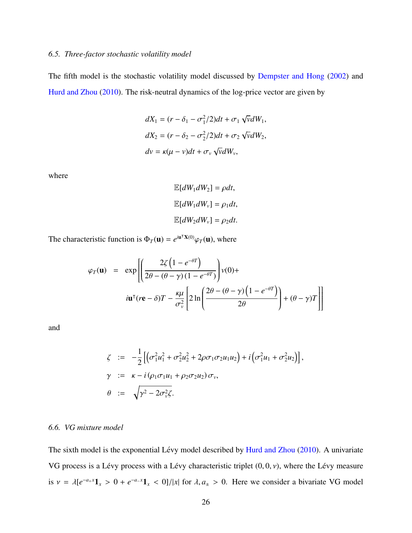#### <span id="page-26-0"></span>*6.5. Three-factor stochastic volatility model*

The fifth model is the stochastic volatility model discussed by [Dempster and Hong](#page-37-8) [\(2002\)](#page-37-8) and [Hurd and Zhou](#page-38-5) [\(2010\)](#page-38-5). The risk-neutral dynamics of the log-price vector are given by

$$
dX_1 = (r - \delta_1 - \sigma_1^2/2)dt + \sigma_1 \sqrt{v}dW_1,
$$
  
\n
$$
dX_2 = (r - \delta_2 - \sigma_2^2/2)dt + \sigma_2 \sqrt{v}dW_2,
$$
  
\n
$$
dv = \kappa(\mu - v)dt + \sigma_v \sqrt{v}dW_v,
$$

where

$$
\mathbb{E}[dW_1 dW_2] = \rho dt,
$$
  

$$
\mathbb{E}[dW_1 dW_v] = \rho_1 dt,
$$
  

$$
\mathbb{E}[dW_2 dW_v] = \rho_2 dt.
$$

The characteristic function is  $\Phi_T(\mathbf{u}) = e^{i\mathbf{u}^\mathsf{T}\mathbf{X}(0)}\varphi_T(\mathbf{u})$ , where

$$
\varphi_T(\mathbf{u}) = \exp\left[\left(\frac{2\zeta\left(1-e^{-\theta T}\right)}{2\theta - (\theta - \gamma)(1-e^{-\theta T})}\right)v(0) + i\mathbf{u}^\intercal (r\mathbf{e} - \delta)T - \frac{\kappa\mu}{\sigma_v^2} \left[2\ln\left(\frac{2\theta - (\theta - \gamma)\left(1-e^{-\theta T}\right)}{2\theta}\right) + (\theta - \gamma)T\right]\right]
$$

and

$$
\zeta := -\frac{1}{2} \left[ \left( \sigma_1^2 u_1^2 + \sigma_2^2 u_2^2 + 2 \rho \sigma_1 \sigma_2 u_1 u_2 \right) + i \left( \sigma_1^2 u_1 + \sigma_2^2 u_2 \right) \right],
$$
  
\n
$$
\gamma := \kappa - i \left( \rho_1 \sigma_1 u_1 + \rho_2 \sigma_2 u_2 \right) \sigma_v,
$$
  
\n
$$
\theta := \sqrt{\gamma^2 - 2 \sigma_v^2 \zeta}.
$$

#### <span id="page-26-1"></span>*6.6. VG mixture model*

The sixth model is the exponential Lévy model described by [Hurd and Zhou](#page-38-5) [\(2010\)](#page-38-5). A univariate VG process is a Lévy process with a Lévy characteristic triplet  $(0, 0, v)$ , where the Lévy measure is  $v = \lambda [e^{-a_+x} \mathbf{1}_x > 0 + e^{-a_-x} \mathbf{1}_x < 0]/|x|$  for  $\lambda, a_{\pm} > 0$ . Here we consider a bivariate VG model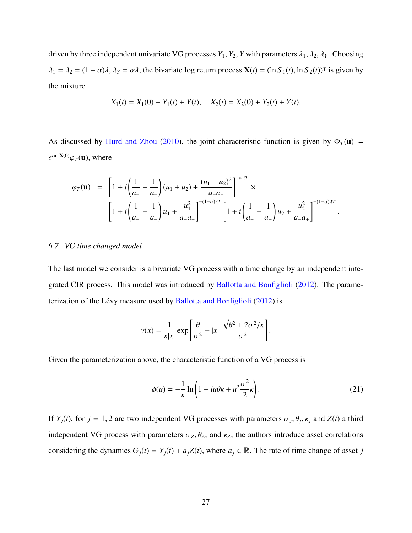driven by three independent univariate VG processes  $Y_1, Y_2, Y$  with parameters  $\lambda_1, \lambda_2, \lambda_Y$ . Choosing  $\lambda_1 = \lambda_2 = (1 - \alpha)\lambda$ ,  $\lambda_Y = \alpha\lambda$ , the bivariate log return process  $\mathbf{X}(t) = (\ln S_1(t), \ln S_2(t))^T$  is given by the mixture

$$
X_1(t) = X_1(0) + Y_1(t) + Y(t), \quad X_2(t) = X_2(0) + Y_2(t) + Y(t).
$$

As discussed by [Hurd and Zhou](#page-38-5) [\(2010\)](#page-38-5), the joint characteristic function is given by  $\Phi_T(\mathbf{u})$  =  $e^{i\mathbf{u}^\intercal \mathbf{X}(0)} \varphi_T(\mathbf{u})$ , where

$$
\varphi_T(\mathbf{u}) = \left[1 + i\left(\frac{1}{a_-} - \frac{1}{a_+}\right)(u_1 + u_2) + \frac{(u_1 + u_2)^2}{a_- a_+}\right]^{-\alpha \lambda T} \times \left[1 + i\left(\frac{1}{a_-} - \frac{1}{a_+}\right)u_1 + \frac{u_1^2}{a_- a_+}\right]^{-(1-\alpha)\lambda T} \left[1 + i\left(\frac{1}{a_-} - \frac{1}{a_+}\right)u_2 + \frac{u_2^2}{a_- a_+}\right]^{-(1-\alpha)\lambda T}.
$$

#### <span id="page-27-0"></span>*6.7. VG time changed model*

The last model we consider is a bivariate VG process with a time change by an independent integrated CIR process. This model was introduced by [Ballotta and Bonfiglioli](#page-36-6) [\(2012\)](#page-36-6). The parame-terization of the Lévy measure used by [Ballotta and Bonfiglioli](#page-36-6) [\(2012\)](#page-36-6) is

$$
v(x) = \frac{1}{\kappa|x|} \exp\left[\frac{\theta}{\sigma^2} - |x| \frac{\sqrt{\theta^2 + 2\sigma^2/\kappa}}{\sigma^2}\right]
$$

Given the parameterization above, the characteristic function of a VG process is

$$
\phi(u) = -\frac{1}{\kappa} \ln \left( 1 - iu\theta \kappa + u^2 \frac{\sigma^2}{2} \kappa \right). \tag{21}
$$

If  $Y_j(t)$ , for  $j = 1, 2$  are two independent VG processes with parameters  $\sigma_j$ ,  $\theta_j$ ,  $\kappa_j$  and  $Z(t)$  a third independent VG process with parameters  $\sigma_Z$ ,  $\theta_Z$ , and  $\kappa_Z$ , the authors introduce asset correlations considering the dynamics  $G_j(t) = Y_j(t) + a_j Z(t)$ , where  $a_j \in \mathbb{R}$ . The rate of time change of asset *j*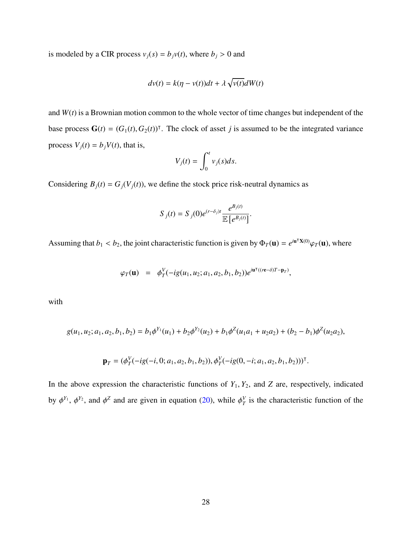is modeled by a CIR process  $v_j(s) = b_j v(t)$ , where  $b_j > 0$  and

$$
dv(t) = k(\eta - v(t))dt + \lambda \sqrt{v(t)}dW(t)
$$

and  $W(t)$  is a Brownian motion common to the whole vector of time changes but independent of the base process  $\mathbf{G}(t) = (G_1(t), G_2(t))^T$ . The clock of asset *j* is assumed to be the integrated variance process  $V_j(t) = b_j V(t)$ , that is,

$$
V_j(t) = \int_0^t v_j(s)ds.
$$

Considering  $B_j(t) = G_j(V_j(t))$ , we define the stock price risk-neutral dynamics as

$$
S_j(t) = S_j(0)e^{(r-\delta_j)t}\frac{e^{B_j(t)}}{\mathbb{E}\left[e^{B_j(t)}\right]}.
$$

Assuming that  $b_1 < b_2$ , the joint characteristic function is given by  $\Phi_T(\mathbf{u}) = e^{i\mathbf{u}^\mathsf{T} \mathbf{X}(0)} \varphi_T(\mathbf{u})$ , where

$$
\varphi_T(\mathbf{u}) = \phi_T^V(-ig(u_1, u_2; a_1, a_2, b_1, b_2))e^{i\mathbf{u}^\mathsf{T}((r\mathbf{e}-\delta)T - \mathbf{p}_T)},
$$

with

$$
g(u_1, u_2; a_1, a_2, b_1, b_2) = b_1 \phi^{Y_1}(u_1) + b_2 \phi^{Y_2}(u_2) + b_1 \phi^Z(u_1 a_1 + u_2 a_2) + (b_2 - b_1) \phi^Z(u_2 a_2),
$$

$$
\mathbf{p}_T = (\phi_T^V(-ig(-i, 0; a_1, a_2, b_1, b_2)), \phi_T^V(-ig(0, -i; a_1, a_2, b_1, b_2)))^\mathsf{T}.
$$

In the above expression the characteristic functions of  $Y_1, Y_2$ , and  $Z$  are, respectively, indicated by  $\phi^{Y_1}$ ,  $\phi^{Y_2}$ , and  $\phi^Z$  and are given in equation [\(20\)](#page-1-0), while  $\phi^V_T$  $Y_T$ <sup>V</sup> is the characteristic function of the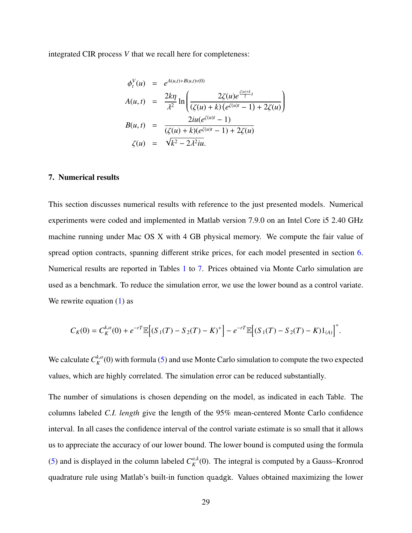integrated CIR process *V* that we recall here for completeness:

$$
\phi_t^V(u) = e^{A(u,t) + B(u,t)v(0)}
$$
\n
$$
A(u,t) = \frac{2k\eta}{\lambda^2} \ln \left( \frac{2\zeta(u)e^{\frac{\zeta(u)+k}{2}t}}{(\zeta(u) + k)(e^{\zeta(u)t} - 1) + 2\zeta(u)} \right)
$$
\n
$$
B(u,t) = \frac{2iu(e^{\zeta(u)t} - 1)}{(\zeta(u) + k)(e^{\zeta(u)t} - 1) + 2\zeta(u)}
$$
\n
$$
\zeta(u) = \sqrt{k^2 - 2\lambda^2}iu.
$$

#### <span id="page-29-0"></span>7. Numerical results

This section discusses numerical results with reference to the just presented models. Numerical experiments were coded and implemented in Matlab version 7.9.0 on an Intel Core i5 2.40 GHz machine running under Mac OS X with 4 GB physical memory. We compute the fair value of spread option contracts, spanning different strike prices, for each model presented in section [6.](#page-21-0) Numerical results are reported in Tables [1](#page-40-0) to [7.](#page-43-0) Prices obtained via Monte Carlo simulation are used as a benchmark. To reduce the simulation error, we use the lower bound as a control variate. We rewrite equation  $(1)$  as

$$
C_K(0) = C_K^{k,\alpha}(0) + e^{-rT} \mathbb{E} \Big[ (S_1(T) - S_2(T) - K)^+ \Big] - e^{-rT} \mathbb{E} \Big[ (S_1(T) - S_2(T) - K) \mathbb{1}_{(A)} \Big]^+.
$$

We calculate  $C_K^{k,\alpha}(0)$  with formula [\(5\)](#page-7-0) and use Monte Carlo simulation to compute the two expected values, which are highly correlated. The simulation error can be reduced substantially.

The number of simulations is chosen depending on the model, as indicated in each Table. The columns labeled *C.I. length* give the length of the 95% mean-centered Monte Carlo confidence interval. In all cases the confidence interval of the control variate estimate is so small that it allows us to appreciate the accuracy of our lower bound. The lower bound is computed using the formula [\(5\)](#page-7-0) and is displayed in the column labeled  $C_K^{\alpha,k}(0)$ . The integral is computed by a Gauss–Kronrod quadrature rule using Matlab's built-in function quadgk. Values obtained maximizing the lower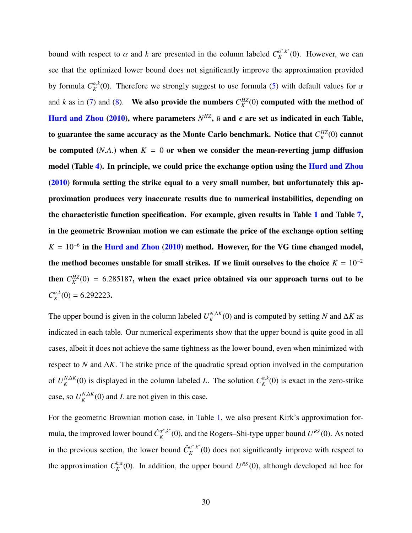bound with respect to  $\alpha$  and  $k$  are presented in the column labeled  $C_K^{\alpha^*,k^*}$  $\alpha^{r,k}(0)$ . However, we can see that the optimized lower bound does not significantly improve the approximation provided by formula  $C_K^{\alpha,k}(0)$ . Therefore we strongly suggest to use formula [\(5\)](#page-7-0) with default values for  $\alpha$ and *k* as in [\(7\)](#page-1-0) and [\(8\)](#page-1-0). We also provide the numbers  $C_K^{HZ}(0)$  computed with the method of [Hurd and Zhou](#page-38-5) [\(2010\)](#page-38-5), where parameters  $N^{HZ}$ ,  $\bar{u}$  and  $\epsilon$  are set as indicated in each Table, to guarantee the same accuracy as the Monte Carlo benchmark. Notice that  $C_K^{HZ}(0)$  cannot be computed (*N.A.*) when  $K = 0$  or when we consider the mean-reverting jump diffusion model (Table [4\)](#page-41-0). In principle, we could price the exchange option using the [Hurd and Zhou](#page-38-5) [\(2010\)](#page-38-5) formula setting the strike equal to a very small number, but unfortunately this approximation produces very inaccurate results due to numerical instabilities, depending on the characteristic function specification. For example, given results in Table [1](#page-40-0) and Table [7,](#page-43-0) in the geometric Brownian motion we can estimate the price of the exchange option setting  $K = 10^{-6}$  in the [Hurd and Zhou](#page-38-5) [\(2010\)](#page-38-5) method. However, for the VG time changed model, the method becomes unstable for small strikes. If we limit ourselves to the choice  $K = 10^{-2}$ then  $C_K^{HZ}(0) = 6.285187$ , when the exact price obtained via our approach turns out to be  $C_K^{\alpha,k}(0) = 6.292223$ .

The upper bound is given in the column labeled  $U_K^{N,\Delta K}(0)$  and is computed by setting *N* and  $\Delta K$  as indicated in each table. Our numerical experiments show that the upper bound is quite good in all cases, albeit it does not achieve the same tightness as the lower bound, even when minimized with respect to *N* and ∆*K*. The strike price of the quadratic spread option involved in the computation of  $U_K^{N,\Delta K}(0)$  is displayed in the column labeled *L*. The solution  $C_K^{\alpha,k}(0)$  is exact in the zero-strike case, so  $U_K^{N,\Delta K}(0)$  and *L* are not given in this case.

For the geometric Brownian motion case, in Table [1,](#page-40-0) we also present Kirk's approximation formula, the improved lower bound  $\hat{C}_{K}^{\alpha^*,k^*}$  $K^{a^*,k^*}(0)$ , and the Rogers–Shi-type upper bound  $U^{RS}(0)$ . As noted in the previous section, the lower bound  $\hat{C}_K^{\alpha^*,k^*}$  $K^{(\alpha^*,k^*)}(0)$  does not significantly improve with respect to the approximation  $C_K^{k,\alpha}(0)$ . In addition, the upper bound  $U^{RS}(0)$ , although developed ad hoc for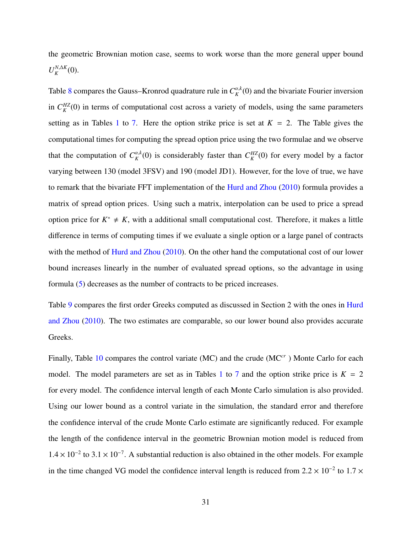the geometric Brownian motion case, seems to work worse than the more general upper bound  $U_K^{N,\Delta K}(0)$ .

Table [8](#page-43-1) compares the Gauss–Kronrod quadrature rule in  $C_K^{\alpha,k}(0)$  and the bivariate Fourier inversion in  $C_K^{HZ}(0)$  in terms of computational cost across a variety of models, using the same parameters setting as in Tables [1](#page-40-0) to [7.](#page-43-0) Here the option strike price is set at  $K = 2$ . The Table gives the computational times for computing the spread option price using the two formulae and we observe that the computation of  $C_K^{\alpha,k}(0)$  is considerably faster than  $C_K^{HZ}(0)$  for every model by a factor varying between 130 (model 3FSV) and 190 (model JD1). However, for the love of true, we have to remark that the bivariate FFT implementation of the [Hurd and Zhou](#page-38-5) [\(2010\)](#page-38-5) formula provides a matrix of spread option prices. Using such a matrix, interpolation can be used to price a spread option price for  $K^* \neq K$ , with a additional small computational cost. Therefore, it makes a little difference in terms of computing times if we evaluate a single option or a large panel of contracts with the method of [Hurd and Zhou](#page-38-5) [\(2010\)](#page-38-5). On the other hand the computational cost of our lower bound increases linearly in the number of evaluated spread options, so the advantage in using formula [\(5\)](#page-7-0) decreases as the number of contracts to be priced increases.

Table [9](#page-43-2) compares the first order Greeks computed as discussed in Section 2 with the ones in [Hurd](#page-38-5) [and Zhou](#page-38-5) [\(2010\)](#page-38-5). The two estimates are comparable, so our lower bound also provides accurate Greeks.

Finally, Table [10](#page-44-0) compares the control variate (MC) and the crude (MC*cr* ) Monte Carlo for each model. The model parameters are set as in Tables [1](#page-40-0) to [7](#page-43-0) and the option strike price is  $K = 2$ for every model. The confidence interval length of each Monte Carlo simulation is also provided. Using our lower bound as a control variate in the simulation, the standard error and therefore the confidence interval of the crude Monte Carlo estimate are significantly reduced. For example the length of the confidence interval in the geometric Brownian motion model is reduced from  $1.4 \times 10^{-2}$  to 3.1 × 10<sup>-7</sup>. A substantial reduction is also obtained in the other models. For example in the time changed VG model the confidence interval length is reduced from  $2.2 \times 10^{-2}$  to  $1.7 \times 10^{-2}$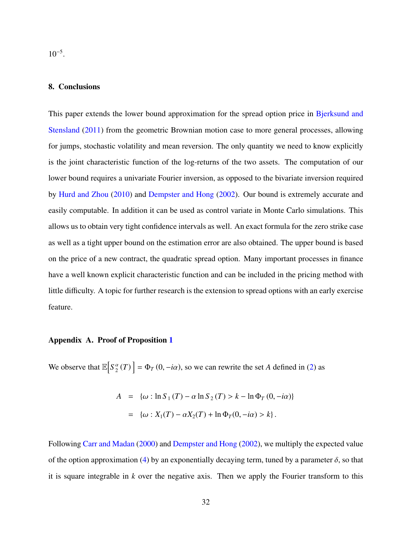10<sup>−</sup><sup>5</sup> .

#### <span id="page-32-0"></span>8. Conclusions

This paper extends the lower bound approximation for the spread option price in [Bjerksund and](#page-36-0) [Stensland](#page-36-0) [\(2011\)](#page-36-0) from the geometric Brownian motion case to more general processes, allowing for jumps, stochastic volatility and mean reversion. The only quantity we need to know explicitly is the joint characteristic function of the log-returns of the two assets. The computation of our lower bound requires a univariate Fourier inversion, as opposed to the bivariate inversion required by [Hurd and Zhou](#page-38-5) [\(2010\)](#page-38-5) and [Dempster and Hong](#page-37-8) [\(2002\)](#page-37-8). Our bound is extremely accurate and easily computable. In addition it can be used as control variate in Monte Carlo simulations. This allows us to obtain very tight confidence intervals as well. An exact formula for the zero strike case as well as a tight upper bound on the estimation error are also obtained. The upper bound is based on the price of a new contract, the quadratic spread option. Many important processes in finance have a well known explicit characteristic function and can be included in the pricing method with little difficulty. A topic for further research is the extension to spread options with an early exercise feature.

#### <span id="page-32-1"></span>Appendix A. Proof of Proposition [1](#page-7-2)

We observe that  $\mathbb{E}\left[S_2^{\alpha}(T)\right] = \Phi_T(0, -i\alpha)$ , so we can rewrite the set *A* defined in [\(2\)](#page-7-1) as

$$
A = \{ \omega : \ln S_1(T) - \alpha \ln S_2(T) > k - \ln \Phi_T(0, -i\alpha) \}
$$
  
= 
$$
\{ \omega : X_1(T) - \alpha X_2(T) + \ln \Phi_T(0, -i\alpha) > k \}.
$$

Following [Carr and Madan](#page-36-4) [\(2000\)](#page-36-4) and [Dempster and Hong](#page-37-8) [\(2002\)](#page-37-8), we multiply the expected value of the option approximation [\(4\)](#page-7-3) by an exponentially decaying term, tuned by a parameter  $\delta$ , so that it is square integrable in *k* over the negative axis. Then we apply the Fourier transform to this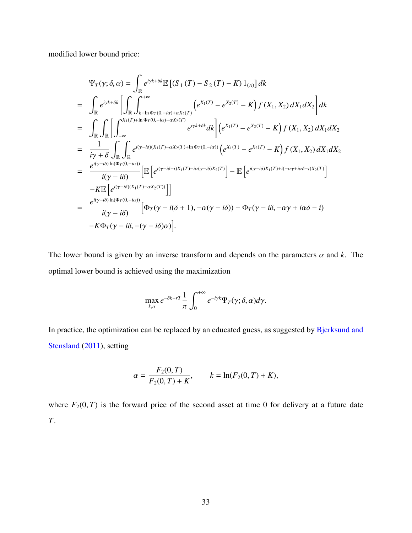modified lower bound price:

$$
\Psi_{T}(\gamma;\delta,\alpha) = \int_{\mathbb{R}} e^{i\gamma k + \delta k} \mathbb{E} \left[ (S_{1}(T) - S_{2}(T) - K) 1_{(A)} \right] dk
$$
\n
$$
= \int_{\mathbb{R}} e^{i\gamma k + \delta k} \left[ \int_{\mathbb{R}} \int_{k-\ln \Phi_{T}(0, -i\alpha) + \alpha X_{2}(T)} \left( e^{X_{1}(T)} - e^{X_{2}(T)} - K \right) f(X_{1}, X_{2}) dX_{1} dX_{2} \right] dk
$$
\n
$$
= \int_{\mathbb{R}} \int_{\mathbb{R}} \left[ \int_{-\infty}^{X_{1}(T)+\ln \Phi_{T}(0, -i\alpha) - \alpha X_{2}(T)} e^{i\gamma k + \delta k} dk \right] \left( e^{X_{1}(T)} - e^{X_{2}(T)} - K \right) f(X_{1}, X_{2}) dX_{1} dX_{2}
$$
\n
$$
= \frac{1}{i\gamma + \delta} \int_{\mathbb{R}} \int_{\mathbb{R}} e^{i(\gamma - i\delta)(X_{1}(T) - \alpha X_{2}(T) + \ln \Phi_{T}(0, -i\alpha))} \left( e^{X_{1}(T)} - e^{X_{2}(T)} - K \right) f(X_{1}, X_{2}) dX_{1} dX_{2}
$$
\n
$$
= \frac{e^{i(\gamma - i\delta)\ln(\Phi_{T}(0, -i\alpha))}}{i(\gamma - i\delta)} \left[ \mathbb{E} \left[ e^{i(\gamma - i\delta - i)X_{1}(T) - i\alpha(\gamma - i\delta)X_{2}(T)} \right] - \mathbb{E} \left[ e^{i(\gamma - i\delta)X_{1}(T) + i(-\alpha\gamma + i\alpha\delta - i)X_{2}(T)} \right] \right]
$$
\n
$$
= \frac{e^{i(\gamma - i\delta)\ln(\Phi_{T}(0, -i\alpha))}}{i(\gamma - i\delta)} \left[ \Phi_{T}(\gamma - i(\delta + 1), -\alpha(\gamma - i\delta)) - \Phi_{T}(\gamma - i\delta, -\alpha\gamma + i\alpha\delta - i) \right]
$$
\n
$$
-K\Phi_{T}(\gamma - i\delta, -(\gamma - i\delta)\alpha) \right].
$$

The lower bound is given by an inverse transform and depends on the parameters  $\alpha$  and  $k$ . The optimal lower bound is achieved using the maximization

$$
\max_{k,\alpha} e^{-\delta k - rT} \frac{1}{\pi} \int_0^{+\infty} e^{-iyk} \Psi_T(\gamma; \delta, \alpha) d\gamma.
$$

In practice, the optimization can be replaced by an educated guess, as suggested by [Bjerksund and](#page-36-0) [Stensland](#page-36-0) [\(2011\)](#page-36-0), setting

$$
\alpha = \frac{F_2(0, T)}{F_2(0, T) + K}, \qquad k = \ln(F_2(0, T) + K),
$$

where  $F_2(0, T)$  is the forward price of the second asset at time 0 for delivery at a future date *T*.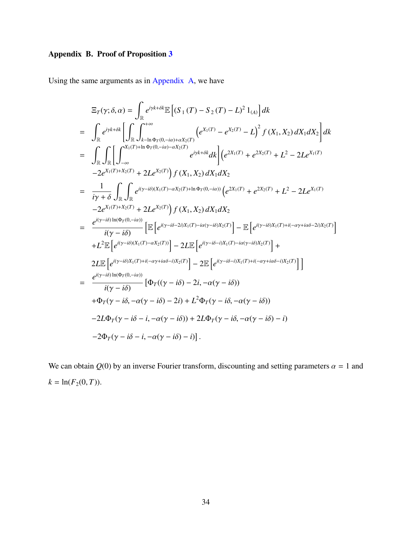## <span id="page-34-0"></span>Appendix B. Proof of Proposition [3](#page-12-1)

Using the same arguments as in [Appendix A,](#page-32-1) we have

$$
\begin{split}\n\Xi_{T}(\gamma;\delta,\alpha) &= \int_{\mathbb{R}} e^{i\gamma k + \delta k} \mathbb{E}\left[ (S_{1}(T) - S_{2}(T) - L)^{2} 1_{(A)} \right] dk \\
&= \int_{\mathbb{R}} e^{i\gamma k + \delta k} \left[ \int_{\mathbb{R}} \int_{k-\ln \Phi_{T}(0, -i\alpha) + \alpha X_{2}(T)}^{+\infty} \left( e^{X_{1}(T)} - e^{X_{2}(T)} - L \right)^{2} f(X_{1}, X_{2}) dX_{1} dX_{2} \right] dk \\
&= \int_{\mathbb{R}} \int_{\mathbb{R}} \left[ \int_{-\infty}^{X_{1}(T) + \ln \Phi_{T}(0, -i\alpha) - \alpha X_{2}(T)} e^{i\gamma k + \delta k} dk \right] \left( e^{2X_{1}(T)} + e^{2X_{2}(T)} + L^{2} - 2Le^{X_{1}(T)} - 2e^{X_{1}(T) + X_{2}(T)} + 2Le^{X_{2}(T)} \right) f(X_{1}, X_{2}) dX_{1} dX_{2} \\
&= \frac{1}{i\gamma + \delta} \int_{\mathbb{R}} \int_{\mathbb{R}} e^{i(\gamma - i\delta)(X_{1}(T) - \alpha X_{2}(T) + \ln \Phi_{T}(0, -i\alpha))} \left( e^{2X_{1}(T)} + e^{2X_{2}(T)} + L^{2} - 2Le^{X_{1}(T)} - 2e^{X_{1}(T) + X_{2}(T)} + 2Le^{X_{2}(T)} \right) f(X_{1}, X_{2}) dX_{1} dX_{2} \\
&= \frac{e^{i(\gamma - i\delta)\ln(\Phi_{T}(0, -i\alpha))}}{i(\gamma - i\delta)} \left[ \mathbb{E} \left[ e^{i(\gamma - i\delta - 2i)X_{1}(T) - i\alpha(\gamma - i\delta)X_{2}(T)} \right] - \mathbb{E} \left[ e^{i(\gamma - i\delta)X_{1}(T) + i(-\alpha\gamma + i\alpha\delta - 2i)X_{2}(T)} \right] + 2L \mathbb{E} \left[ e^{i(\gamma - i\delta)(X_{1}(T) - \alpha X_{2}(T))} \right] - 2L \mathbb{E} \left[ e^{i(\gamma - i\delta - i)X_{1}(T) - i\alpha(\gamma - i\delta)X
$$

We can obtain  $Q(0)$  by an inverse Fourier transform, discounting and setting parameters  $\alpha = 1$  and  $k = \ln(F_2(0, T)).$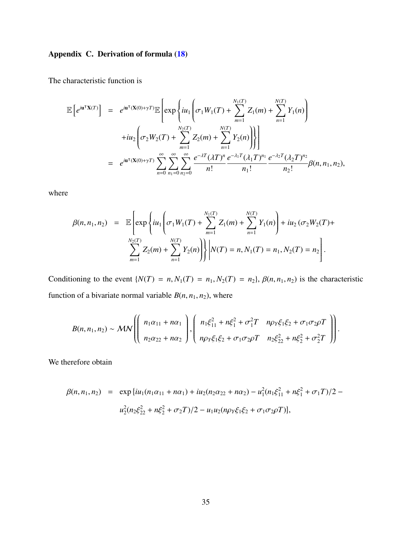### <span id="page-35-0"></span>Appendix C. Derivation of formula [\(18\)](#page-24-1)

The characteristic function is

$$
\mathbb{E}\left[e^{i\mathbf{u}^{\mathsf{T}}\mathbf{X}(T)}\right] = e^{i\mathbf{u}^{\mathsf{T}}(\mathbf{X}(0)+\gamma T)}\mathbb{E}\left[\exp\left\{i u_{1}\left(\sigma_{1}W_{1}(T)+\sum_{m=1}^{N_{1}(T)}Z_{1}(m)+\sum_{n=1}^{N(T)}Y_{1}(n)\right)\right.\right.\left. +i u_{2}\left(\sigma_{2}W_{2}(T)+\sum_{m=1}^{N_{2}(T)}Z_{2}(m)+\sum_{n=1}^{N(T)}Y_{2}(n)\right)\right\}\right] \n= e^{i\mathbf{u}^{\mathsf{T}}(\mathbf{X}(0)+\gamma T)}\sum_{n=0}^{\infty}\sum_{n_{1}=0}^{\infty}\sum_{n_{2}=0}^{\infty}\frac{e^{-\lambda T}(\lambda T)^{n}}{n!}\frac{e^{-\lambda_{1}T}(\lambda_{1}T)^{n_{1}}}{n_{1}!}\frac{e^{-\lambda_{2}T}(\lambda_{2}T)^{n_{2}}}{n_{2}!}\beta(n, n_{1}, n_{2}),
$$

where

$$
\beta(n, n_1, n_2) = \mathbb{E}\left[\exp\left\{iu_1\left(\sigma_1W_1(T) + \sum_{m=1}^{N_1(T)} Z_1(m) + \sum_{n=1}^{N(T)} Y_1(n)\right) + iu_2\left(\sigma_2W_2(T) + \sum_{m=1}^{N_2(T)} Z_2(m) + \sum_{n=1}^{N(T)} Y_2(n)\right)\right\}\middle| N(T) = n, N_1(T) = n_1, N_2(T) = n_2\right].
$$

Conditioning to the event  $\{N(T) = n, N_1(T) = n_1, N_2(T) = n_2\}$ ,  $\beta(n, n_1, n_2)$  is the characteristic function of a bivariate normal variable  $B(n, n_1, n_2)$ , where

$$
B(n, n_1, n_2) \sim \mathcal{MN}\left(\left(\begin{array}{c} n_1\alpha_{11} + n\alpha_1 \\ n_2\alpha_{22} + n\alpha_2 \end{array}\right), \left(\begin{array}{cc} n_1\xi_{11}^2 + n\xi_1^2 + \sigma_1^2T & n\rho_Y\xi_1\xi_2 + \sigma_1\sigma_2\rho T \\ n\rho_Y\xi_1\xi_2 + \sigma_1\sigma_2\rho T & n_2\xi_{22}^2 + n\xi_2^2 + \sigma_2^2T \end{array}\right)\right).
$$

We therefore obtain

$$
\beta(n, n_1, n_2) = \exp\{iu_1(n_1\alpha_{11} + n\alpha_1) + iu_2(n_2\alpha_{22} + n\alpha_2) - u_1^2(n_1\xi_{11}^2 + n\xi_1^2 + \sigma_1T)/2 - u_2^2(n_2\xi_{22}^2 + n\xi_2^2 + \sigma_2T)/2 - u_1u_2(n\rho_Y\xi_1\xi_2 + \sigma_1\sigma_2\rho T)\},
$$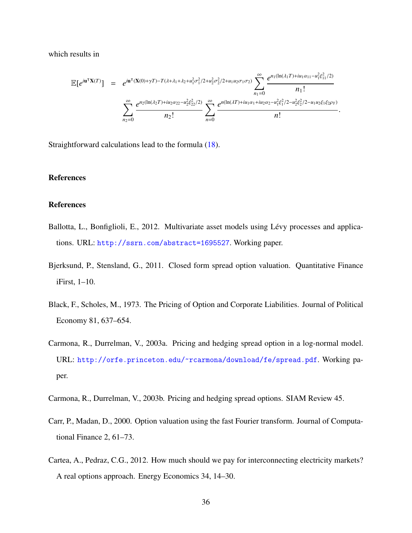which results in

$$
\mathbb{E}[e^{i\mathbf{u}^{\mathsf{T}}\mathbf{X}(T)}] = e^{i\mathbf{u}^{\mathsf{T}}(\mathbf{X}(0)+\gamma T)-T(\lambda+\lambda_1+\lambda_2+u_1^2\sigma_1^2/2+u_2^2\sigma_2^2/2+u_1u_2\sigma_1\sigma_2)} \sum_{n_1=0}^{\infty} \frac{e^{n_1(\ln(\lambda_1T)+iu_1\alpha_{11}-u_1^2\xi_{11}^2/2)}}{n_1!} \times \sum_{n_2=0}^{\infty} \frac{e^{n_2(\ln(\lambda_2T)+iu_2\alpha_{22}-u_2^2\xi_{22}^2/2)}}{n_2!} \sum_{n=0}^{\infty} \frac{e^{n(\ln(\lambda T)+iu_1\alpha_{1}+iu_2\alpha_{2}-u_1^2\xi_{1}^2/2-u_2^2\xi_{2}^2/2-u_1u_2\xi_{1}\xi_{2}\rho_Y)}}{n!}
$$

Straightforward calculations lead to the formula [\(18\)](#page-24-1).

#### References

#### **References**

- <span id="page-36-6"></span>Ballotta, L., Bonfiglioli, E., 2012. Multivariate asset models using Lévy processes and applications. URL: <http://ssrn.com/abstract=1695527>. Working paper.
- <span id="page-36-0"></span>Bjerksund, P., Stensland, G., 2011. Closed form spread option valuation. Quantitative Finance iFirst, 1–10.
- <span id="page-36-5"></span>Black, F., Scholes, M., 1973. The Pricing of Option and Corporate Liabilities. Journal of Political Economy 81, 637–654.
- <span id="page-36-3"></span>Carmona, R., Durrelman, V., 2003a. Pricing and hedging spread option in a log-normal model. URL: <http://orfe.princeton.edu/~rcarmona/download/fe/spread.pdf>. Working paper.
- <span id="page-36-1"></span>Carmona, R., Durrelman, V., 2003b. Pricing and hedging spread options. SIAM Review 45.
- <span id="page-36-4"></span>Carr, P., Madan, D., 2000. Option valuation using the fast Fourier transform. Journal of Computational Finance 2, 61–73.
- <span id="page-36-2"></span>Cartea, A., Pedraz, C.G., 2012. How much should we pay for interconnecting electricity markets? A real options approach. Energy Economics 34, 14–30.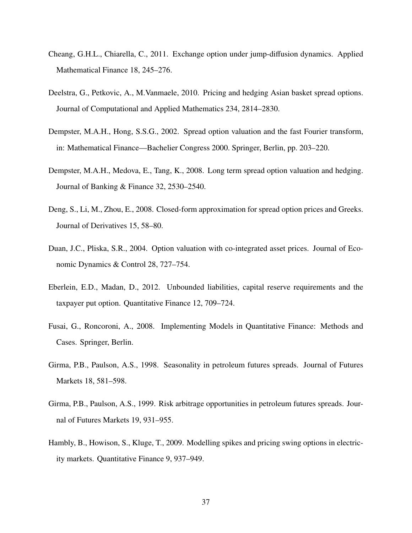- <span id="page-37-9"></span>Cheang, G.H.L., Chiarella, C., 2011. Exchange option under jump-diffusion dynamics. Applied Mathematical Finance 18, 245–276.
- <span id="page-37-7"></span>Deelstra, G., Petkovic, A., M.Vanmaele, 2010. Pricing and hedging Asian basket spread options. Journal of Computational and Applied Mathematics 234, 2814–2830.
- <span id="page-37-8"></span>Dempster, M.A.H., Hong, S.S.G., 2002. Spread option valuation and the fast Fourier transform, in: Mathematical Finance—Bachelier Congress 2000. Springer, Berlin, pp. 203–220.
- <span id="page-37-2"></span>Dempster, M.A.H., Medova, E., Tang, K., 2008. Long term spread option valuation and hedging. Journal of Banking & Finance 32, 2530–2540.
- <span id="page-37-6"></span>Deng, S., Li, M., Zhou, E., 2008. Closed-form approximation for spread option prices and Greeks. Journal of Derivatives 15, 58–80.
- <span id="page-37-3"></span>Duan, J.C., Pliska, S.R., 2004. Option valuation with co-integrated asset prices. Journal of Economic Dynamics & Control 28, 727–754.
- <span id="page-37-5"></span>Eberlein, E.D., Madan, D., 2012. Unbounded liabilities, capital reserve requirements and the taxpayer put option. Quantitative Finance 12, 709–724.
- <span id="page-37-4"></span>Fusai, G., Roncoroni, A., 2008. Implementing Models in Quantitative Finance: Methods and Cases. Springer, Berlin.
- <span id="page-37-0"></span>Girma, P.B., Paulson, A.S., 1998. Seasonality in petroleum futures spreads. Journal of Futures Markets 18, 581–598.
- <span id="page-37-1"></span>Girma, P.B., Paulson, A.S., 1999. Risk arbitrage opportunities in petroleum futures spreads. Journal of Futures Markets 19, 931–955.
- <span id="page-37-10"></span>Hambly, B., Howison, S., Kluge, T., 2009. Modelling spikes and pricing swing options in electricity markets. Quantitative Finance 9, 937–949.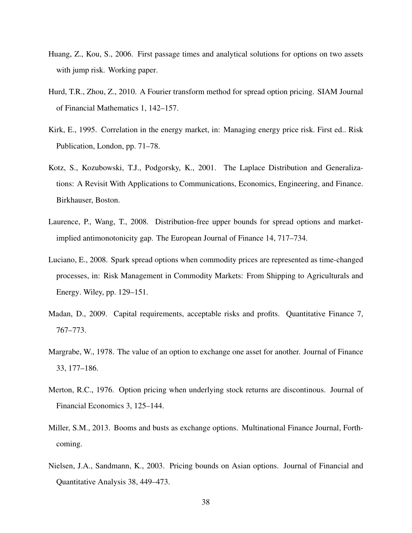- <span id="page-38-9"></span>Huang, Z., Kou, S., 2006. First passage times and analytical solutions for options on two assets with jump risk. Working paper.
- <span id="page-38-5"></span>Hurd, T.R., Zhou, Z., 2010. A Fourier transform method for spread option pricing. SIAM Journal of Financial Mathematics 1, 142–157.
- <span id="page-38-4"></span>Kirk, E., 1995. Correlation in the energy market, in: Managing energy price risk. First ed.. Risk Publication, London, pp. 71–78.
- <span id="page-38-10"></span>Kotz, S., Kozubowski, T.J., Podgorsky, K., 2001. The Laplace Distribution and Generalizations: A Revisit With Applications to Communications, Economics, Engineering, and Finance. Birkhauser, Boston.
- <span id="page-38-7"></span>Laurence, P., Wang, T., 2008. Distribution-free upper bounds for spread options and marketimplied antimonotonicity gap. The European Journal of Finance 14, 717–734.
- <span id="page-38-1"></span>Luciano, E., 2008. Spark spread options when commodity prices are represented as time-changed processes, in: Risk Management in Commodity Markets: From Shipping to Agriculturals and Energy. Wiley, pp. 129–151.
- <span id="page-38-3"></span>Madan, D., 2009. Capital requirements, acceptable risks and profits. Quantitative Finance 7, 767–773.
- <span id="page-38-0"></span>Margrabe, W., 1978. The value of an option to exchange one asset for another. Journal of Finance 33, 177–186.
- <span id="page-38-6"></span>Merton, R.C., 1976. Option pricing when underlying stock returns are discontinous. Journal of Financial Economics 3, 125–144.
- <span id="page-38-2"></span>Miller, S.M., 2013. Booms and busts as exchange options. Multinational Finance Journal, Forthcoming.
- <span id="page-38-8"></span>Nielsen, J.A., Sandmann, K., 2003. Pricing bounds on Asian options. Journal of Financial and Quantitative Analysis 38, 449–473.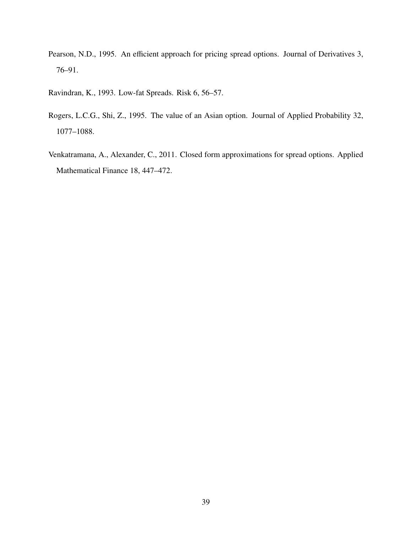<span id="page-39-1"></span>Pearson, N.D., 1995. An efficient approach for pricing spread options. Journal of Derivatives 3, 76–91.

<span id="page-39-0"></span>Ravindran, K., 1993. Low-fat Spreads. Risk 6, 56–57.

- <span id="page-39-3"></span>Rogers, L.C.G., Shi, Z., 1995. The value of an Asian option. Journal of Applied Probability 32, 1077–1088.
- <span id="page-39-2"></span>Venkatramana, A., Alexander, C., 2011. Closed form approximations for spread options. Applied Mathematical Finance 18, 447–472.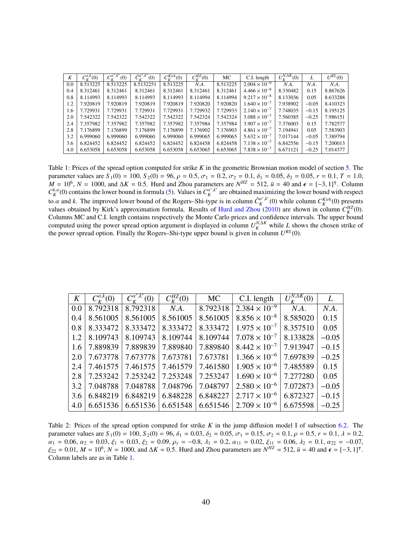| K   | $C_{\nu}^{\alpha,k}(0)$ | $\mathcal{C}^{\alpha^*,k^*}$<br>(0) | $\hat{C}^{\alpha^{*},k^{*}}_{\nu}(0)$ | $C_v^{Kirk}(0)$ | $C_{\nu}^{HZ}(0)$ | МC       | C.I. length            | $U_{V}^{N,\Delta K}(0)$ |         | $U^{RS}(0)$ |
|-----|-------------------------|-------------------------------------|---------------------------------------|-----------------|-------------------|----------|------------------------|-------------------------|---------|-------------|
| 0.0 | 8.513225                | 8.513225                            | 8.5132251                             | 8.513225        | NA.               | 8.513225 | $2.004 \times 10^{-9}$ | N.A.                    | N.A.    | NA.         |
| 0.4 | 8.312461                | 8.312461                            | 8.312461                              | 8.312461        | 8.312461          | 8.312461 | $4.466 \times 10^{-8}$ | 8.330482                | 0.15    | 8.867626    |
| 0.8 | 8.114993                | 8.114993                            | 8.114993                              | 8.114993        | 8.114994          | 8.114994 | $9.217 \times 10^{-8}$ | 8.133036                | 0.05    | 8.633288    |
| 1.2 | 7.920819                | 7.920819                            | 7.920819                              | 7.920819        | 7.920820          | 7.920820 | $1.640 \times 10^{-7}$ | 7.938902                | $-0.05$ | 8.410323    |
| 1.6 | 7.729931                | 7.729931                            | 7.729931                              | 7.729931        | 7.729932          | 7.729933 | $2.140 \times 10^{-7}$ | 7.748035                | $-0.15$ | 8.195125    |
| 2.0 | 7.542322                | 7.542322                            | 7.542322                              | 7.542322        | 7.542324          | 7.542324 | $3.088 \times 10^{-7}$ | 7.560385                | $-0.25$ | 7.986151    |
| 2.4 | 7.357982                | 7.357982                            | 7.357982                              | 7.357982        | 7.357984          | 7.357984 | $3.907 \times 10^{-7}$ | 7.376003                | 0.15    | 7.782577    |
| 2.8 | 7.176899                | 7.176899                            | 7.176899                              | 7.176899        | 7.176902          | 7.176903 | $4.861 \times 10^{-7}$ | 7.194941                | 0.05    | 7.583903    |
| 3.2 | 6.999060                | 6.999060                            | 6.999060                              | 6.999060        | 6.999065          | 6.999065 | $5.632 \times 10^{-7}$ | 7.017144                | $-0.05$ | 7.389794    |
| 3.6 | 6.824452                | 6.824452                            | 6.824452                              | 6.824452        | 6.824458          | 6.824458 | $7.138 \times 10^{-7}$ | 6.842556                | $-0.15$ | 7.200013    |
| 4.0 | 6.653058                | 6.653058                            | 6.653058                              | 6.653058        | 6.653065          | 6.653065 | $7.838 \times 10^{-7}$ | 6.671121                | $-0.25$ | 7.014377    |

<span id="page-40-0"></span>Table 1: Prices of the spread option computed for strike *K* in the geometric Brownian motion model of section [5.](#page-14-0) The parameter values are  $S_1(0) = 100$ ,  $S_2(0) = 96$ ,  $\rho = 0.5$ ,  $\sigma_1 = 0.2$ ,  $\sigma_2 = 0.1$ ,  $\delta_1 = 0.05$ ,  $\delta_2 = 0.05$ ,  $r = 0.1$ ,  $T = 1.0$ ,  $M = 10^6$ ,  $N = 1000$ , and  $\Delta K = 0.5$ . Hurd and Zhou parameters are  $N^{HZ} = 512$ ,  $\bar{u}$  $C_K^{k,\alpha}(0)$  contains the lower bound in formula [\(5\)](#page-7-0). Values in  $C_K^{\alpha^*,k^*}$  $K^{a^r,k^r}$  are obtained maximizing the lower bound with respect  $\alpha$  and *k*. The improved lower bound of the Rogers–Shi-type is in column  $\hat{C}_{\alpha}^{\alpha^*,k^*}$ <br>values obtained by Kirk's approximation formula. Results of Hurd and Zhou (2)  $K^{a^*,k^*}(0)$  while column  $C^{Kirk}_K(0)$  presents values obtained by Kirk's approximation formula. Results of [Hurd and Zhou](#page-38-5) [\(2010\)](#page-38-5) are shown in column  $C_K^{HZ}(0)$ . Columns MC and C.I. length contains respectively the Monte Carlo prices and confidence intervals. The upper bound computed using the power spread option argument is displayed in column  $U_K^{N,\Delta K}$  while *L* shows the chosen strike of the power spread option. Finally the Rogers–Shi-type upper bound is given in column  $U^{RS}(0)$ .

| K   | $C_{\kappa}^{\alpha,k}(0)$ | $\overline{C_{\kappa}^{\alpha^*,k^*}(0)}$ | $C_{K}^{HZ}(0)$ | <b>MC</b> | C.I. length            | $U_{\kappa}^{N,\Delta K}(0)$ | L       |
|-----|----------------------------|-------------------------------------------|-----------------|-----------|------------------------|------------------------------|---------|
| 0.0 | 8.792318                   | 8.792318                                  | N.A.            | 8.792318  | $2.384 \times 10^{-9}$ | N.A.                         | N.A.    |
| 0.4 | 8.561005                   | 8.561005                                  | 8.561005        | 8.561005  | $8.856 \times 10^{-8}$ | 8.585020                     | 0.15    |
| 0.8 | 8.333472                   | 8.333472                                  | 8.333472        | 8.333472  | $1.975 \times 10^{-7}$ | 8.357510                     | 0.05    |
| 1.2 | 8.109743                   | 8.109743                                  | 8.109744        | 8.109744  | $7.078 \times 10^{-7}$ | 8.133828                     | $-0.05$ |
| 1.6 | 7.889839                   | 7.889839                                  | 7.889840        | 7.889840  | $8.442 \times 10^{-7}$ | 7.913947                     | $-0.15$ |
| 2.0 | 7.673778                   | 7.673778                                  | 7.673781        | 7.673781  | $1.366 \times 10^{-6}$ | 7.697839                     | $-0.25$ |
| 2.4 | 7.461575                   | 7.461575                                  | 7.461579        | 7.461580  | $1.905 \times 10^{-6}$ | 7.485589                     | 0.15    |
| 2.8 | 7.253242                   | 7.253242                                  | 7.253248        | 7.253247  | $1.690 \times 10^{-6}$ | 7.277280                     | 0.05    |
| 3.2 | 7.048788                   | 7.048788                                  | 7.048796        | 7.048797  | $2.580 \times 10^{-6}$ | 7.072873                     | $-0.05$ |
| 3.6 | 6.848219                   | 6.848219                                  | 6.848228        | 6.848227  | $2.717 \times 10^{-6}$ | 6.872327                     | $-0.15$ |
| 4.0 | 6.651536                   | 6.651536                                  | 6.651548        | 6.651546  | $2.709 \times 10^{-6}$ | 6.675598                     | $-0.25$ |
|     |                            |                                           |                 |           |                        |                              |         |

Table 2: Prices of the spread option computed for strike *K* in the jump diffusion model I of subsection [6.2.](#page-22-0) The parameter values are  $S_1(0) = 100$ ,  $S_2(0) = 96$ ,  $\delta_1 = 0.03$ ,  $\delta_2 = 0.05$ ,  $\sigma_1 = 0.15$ ,  $\sigma_2 = 0.1$ ,  $\rho = 0.5$ ,  $r = 0.1$ ,  $\lambda = 0.2$ ,  $\alpha_1 = 0.06$ ,  $\alpha_2 = 0.03$ ,  $\xi_1 = 0.03$ ,  $\xi_2 = 0.09$ ,  $\rho_y = -0.8$ ,  $\lambda_1 = 0.2$ ,  $\alpha_{11} = 0.02$ ,  $\xi_{11} = 0.06$ ,  $\lambda_2 = 0.1$ ,  $\alpha_{22} = -0.07$ ,<br> $\xi_{22} = -0.01$ ,  $M = 10^6$ ,  $N = 1000$ , and  $\Delta K = 0.5$ . Hurd and Zhou parameters  $\xi_{22} = 0.01, M = 10^6, N = 1000, \text{ and } \Delta K = 0.5$ . Hurd and Zhou parameters are  $N^{HZ} = 512, \bar{u} = 40$  and  $\epsilon = [-3, 1]$ <sup>T</sup>.<br>Column labels are as in Table 1 Column labels are as in Table [1.](#page-40-0)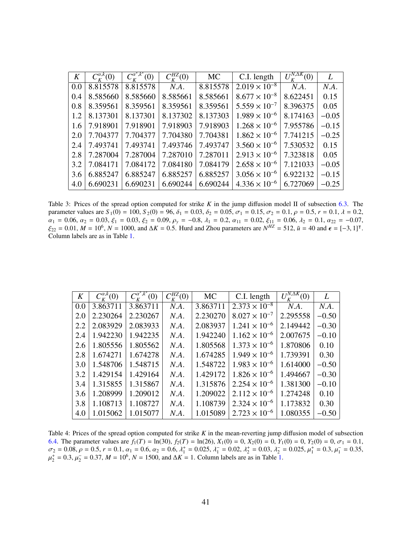| K   | $C_{\kappa}^{\alpha,k}(0)$ | $C_{\kappa}^{\alpha^*,k^*}(0)$ | $C_{K}^{HZ}(0)$ | <b>MC</b> | C.I. length            | $U_{\kappa}^{N,\Delta K}(0)$ | L       |
|-----|----------------------------|--------------------------------|-----------------|-----------|------------------------|------------------------------|---------|
| 0.0 | 8.815578                   | 8.815578                       | N.A.            | 8.815578  | $2.019 \times 10^{-8}$ | N.A.                         | N.A.    |
| 0.4 | 8.585660                   | 8.585660                       | 8.585661        | 8.585661  | $8.677 \times 10^{-8}$ | 8.622451                     | 0.15    |
| 0.8 | 8.359561                   | 8.359561                       | 8.359561        | 8.359561  | $5.559 \times 10^{-7}$ | 8.396375                     | 0.05    |
| 1.2 | 8.137301                   | 8.137301                       | 8.137302        | 8.137303  | $1.989 \times 10^{-6}$ | 8.174163                     | $-0.05$ |
| 1.6 | 7.918901                   | 7.918901                       | 7.918903        | 7.918903  | $1.268 \times 10^{-6}$ | 7.955786                     | $-0.15$ |
| 2.0 | 7.704377                   | 7.704377                       | 7.704380        | 7.704381  | $1.862 \times 10^{-6}$ | 7.741215                     | $-0.25$ |
| 2.4 | 7.493741                   | 7.493741                       | 7.493746        | 7.493747  | $3.560 \times 10^{-6}$ | 7.530532                     | 0.15    |
| 2.8 | 7.287004                   | 7.287004                       | 7.287010        | 7.287011  | $2.913 \times 10^{-6}$ | 7.323818                     | 0.05    |
| 3.2 | 7.084171                   | 7.084172                       | 7.084180        | 7.084179  | $2.658 \times 10^{-6}$ | 7.121033                     | $-0.05$ |
| 3.6 | 6.885247                   | 6.885247                       | 6.885257        | 6.885257  | $3.056 \times 10^{-6}$ | 6.922132                     | $-0.15$ |
| 4.0 | 6.690231                   | 6.690231                       | 6.690244        | 6.690244  | $4.336 \times 10^{-6}$ | 6.727069                     | $-0.25$ |
|     |                            |                                |                 |           |                        |                              |         |

Table 3: Prices of the spread option computed for strike *K* in the jump diffusion model II of subsection [6.3.](#page-23-1) The parameter values are  $S_1(0) = 100$ ,  $S_2(0) = 96$ ,  $\delta_1 = 0.03$ ,  $\delta_2 = 0.05$ ,  $\sigma_1 = 0.15$ ,  $\sigma_2 = 0.1$ ,  $\rho = 0.5$ ,  $r = 0.1$ ,  $\lambda = 0.2$ ,  $\alpha_1 = 0.06$ ,  $\alpha_2 = 0.03$ ,  $\xi_1 = 0.03$ ,  $\xi_2 = 0.09$ ,  $\rho_y = -0.8$ ,  $\lambda_1 = 0.2$ ,  $\alpha_{11} = 0.02$ ,  $\xi_{11} = 0.06$ ,  $\lambda_2 = 0.1$ ,  $\alpha_{22} = -0.07$ ,<br> $\xi_{22} = 0.01$ ,  $M = 10^6$ ,  $N = 1000$ , and  $\Delta K = 0.5$ . Hurd and Zhou parameters  $\xi_{22} = 0.01, M = 10^6, N = 1000, \text{ and } \Delta K = 0.5$ . Hurd and Zhou parameters are  $N^{HZ} = 512, \bar{u} = 40$  and  $\epsilon = [-3, 1]$ <sup>T</sup>.<br>Column labels are as in Table 1 Column labels are as in Table [1.](#page-40-0)

| K   | $C_{\kappa}^{\alpha,k}(0)$ | $\overline{C_{\kappa}^{\alpha^{*},k^{*}}(0)}$ | $C_{K}^{HZ}(0)$ | <b>MC</b> | C.I. length            | $\overline{U_{\kappa}^{N,\Delta K}(0)}$ | L       |
|-----|----------------------------|-----------------------------------------------|-----------------|-----------|------------------------|-----------------------------------------|---------|
| 0.0 | 3.863711                   | 3.863711                                      | N.A.            | 3.863711  | $2.373 \times 10^{-8}$ | N.A.                                    | N.A.    |
| 2.0 | 2.230264                   | 2.230267                                      | N.A.            | 2.230270  | $8.027 \times 10^{-7}$ | 2.295558                                | $-0.50$ |
| 2.2 | 2.083929                   | 2.083933                                      | N.A.            | 2.083937  | $1.241 \times 10^{-6}$ | 2.149442                                | $-0.30$ |
| 2.4 | 1.942230                   | 1.942235                                      | N.A.            | 1.942240  | $1.162 \times 10^{-6}$ | 2.007675                                | $-0.10$ |
| 2.6 | 1.805556                   | 1.805562                                      | N.A.            | 1.805568  | $1.373 \times 10^{-6}$ | 1.870806                                | 0.10    |
| 2.8 | 1.674271                   | 1.674278                                      | N.A.            | 1.674285  | $1.949 \times 10^{-6}$ | 1.739391                                | 0.30    |
| 3.0 | 1.548706                   | 1.548715                                      | N.A.            | 1.548722  | $1.983 \times 10^{-6}$ | 1.614000                                | $-0.50$ |
| 3.2 | 1.429154                   | 1.429164                                      | N.A.            | 1.429172  | $1.826 \times 10^{-6}$ | 1.494667                                | $-0.30$ |
| 3.4 | 1.315855                   | 1.315867                                      | N.A.            | 1.315876  | $2.254 \times 10^{-6}$ | 1.381300                                | $-0.10$ |
| 3.6 | 1.208999                   | 1.209012                                      | N.A.            | 1.209022  | $2.112 \times 10^{-6}$ | 1.274248                                | 0.10    |
| 3.8 | 1.108713                   | 1.108727                                      | N.A.            | 1.108739  | $2.324 \times 10^{-6}$ | 1.173832                                | 0.30    |
| 4.0 | 1.015062                   | 1.015077                                      | N.A.            | 1.015089  | $2.723 \times 10^{-6}$ | 1.080355                                | $-0.50$ |

<span id="page-41-0"></span>Table 4: Prices of the spread option computed for strike *K* in the mean-reverting jump diffusion model of subsection [6.4.](#page-24-0) The parameter values are  $f_1(T) = \ln(30)$ ,  $f_2(T) = \ln(26)$ ,  $X_1(0) = 0$ ,  $X_2(0) = 0$ ,  $Y_1(0) = 0$ ,  $Y_2(0) = 0$ ,  $\sigma_1 = 0.1$ ,  $\sigma_2 = 0.08, \rho = 0.5, r = 0.1, \alpha_1 = 0.6, \alpha_2 = 0.6, \lambda_1^+ = 0.025, \lambda_1^- = 0.02, \lambda_2^+ = 0.03, \lambda_2^- = 0.025, \mu_1^+ = 0.3, \mu_1^- = 0.35,$ <br>  $\mu_1^+ = 0.3, \mu_1^- = 0.37, M = 10^6, N = 1500, \text{ and } \Lambda K = 1$ . Column labels are as in Table 1.  $\mathbf{r}$  $\mu_2^+ = 0.3$ ,  $\mu_2^- = 0.37$ ,  $M = 10^6$ ,  $N = 1500$ , and  $\Delta K = 1$ . Column labels are as in Table [1.](#page-40-0)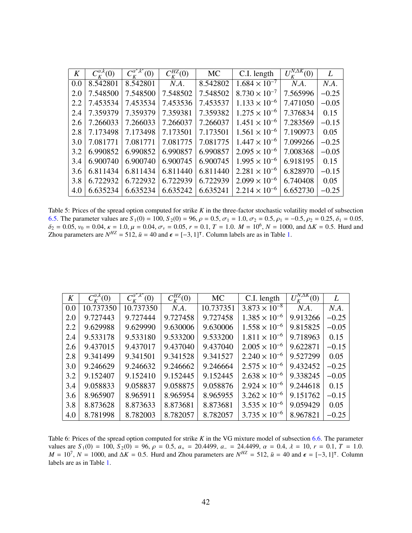| 8.542801<br>8.542801<br>8.542802<br>N.A.<br>0.0     | $1.684 \times 10^{-7}$<br>N.A.<br>N.A.        |
|-----------------------------------------------------|-----------------------------------------------|
|                                                     |                                               |
| 7.548502<br>7.548500<br>7.548500<br>7.548502<br>2.0 | 7.565996<br>$8.730 \times 10^{-7}$<br>$-0.25$ |
| 7.453536<br>7.453537<br>7.453534<br>7.453534<br>2.2 | $1.133 \times 10^{-6}$<br>7.471050<br>$-0.05$ |
| 7.359382<br>7.359381<br>7.359379<br>7.359379<br>2.4 | $1.275 \times 10^{-6}$<br>7.376834<br>0.15    |
| 7.266037<br>7.266037<br>7.266033<br>7.266033<br>2.6 | $1.451 \times 10^{-6}$<br>7.283569<br>$-0.15$ |
| 7.173501<br>7.173498<br>7.173501<br>2.8<br>7.173498 | 7.190973<br>$1.561 \times 10^{-6}$<br>0.05    |
| 7.081775<br>7.081771<br>7.081775<br>7.081771<br>3.0 | 7.099266<br>$1.447 \times 10^{-6}$<br>$-0.25$ |
| 6.990857<br>6.990852<br>6.990852<br>6.990857<br>3.2 | $2.095 \times 10^{-6}$<br>7.008368<br>$-0.05$ |
| 6.900745<br>6.900740<br>6.900740<br>6.900745<br>3.4 | $1.995 \times 10^{-6}$<br>6.918195<br>0.15    |
| 6.811440<br>6.811440<br>6.811434<br>6.811434<br>3.6 | $2.281 \times 10^{-6}$<br>6.828970<br>$-0.15$ |
| 6.722932<br>6.722932<br>6.722939<br>6.722939<br>3.8 | $2.099 \times 10^{-6}$<br>6.740408<br>0.05    |
| 6.635241<br>6.635234<br>6.635234<br>6.635242<br>4.0 | $2.214 \times 10^{-6}$<br>6.652730<br>$-0.25$ |

Table 5: Prices of the spread option computed for strike *K* in the three-factor stochastic volatility model of subsection [6.5.](#page-26-0) The parameter values are  $S_1(0) = 100$ ,  $S_2(0) = 96$ ,  $\rho = 0.5$ ,  $\sigma_1 = 1.0$ ,  $\sigma_2 = 0.5$ ,  $\rho_1 = -0.5$ ,  $\rho_2 = 0.25$ ,  $\delta_1 = 0.05$ ,  $δ<sub>2</sub> = 0.05, v<sub>0</sub> = 0.04, κ = 1.0, μ = 0.04, σ<sub>v</sub> = 0.05, r = 0.1, T = 1.0, M = 10<sup>6</sup>, N = 1000$ , and Δ*K* = 0.5. Hurd and<br>Zhou parameters are  $N<sup>HZ</sup> = 512$ ,  $\bar{u} = 40$  and  $\epsilon = 5.3$ . 11J. Column labels are as in Table Zhou parameters are  $N^{HZ} = 512$ ,  $\bar{u} = 40$  and  $\epsilon = [-3, 1]^{\dagger}$ . Column labels are as in Table [1.](#page-40-0)

| K   | $C_{\kappa}^{\alpha,k}(0)$ | $C_{\scriptscriptstyle K}^{a^*,k^*}(0)$ | $C_{\kappa}^{HZ}(0)$ | <b>MC</b> | C.I. length            | $\sqrt{\frac{N,\Delta K}{2}}(0)$<br>$U^{\prime}$ | L       |
|-----|----------------------------|-----------------------------------------|----------------------|-----------|------------------------|--------------------------------------------------|---------|
| 0.0 | 10.737350                  | 10.737350                               | N.A.                 | 10.737351 | $3.873 \times 10^{-8}$ | N.A.                                             | N.A.    |
| 2.0 | 9.727443                   | 9.727444                                | 9.727458             | 9.727458  | $1.385 \times 10^{-6}$ | 9.913266                                         | $-0.25$ |
| 2.2 | 9.629988                   | 9.629990                                | 9.630006             | 9.630006  | $1.558 \times 10^{-6}$ | 9.815825                                         | $-0.05$ |
| 2.4 | 9.533178                   | 9.533180                                | 9.533200             | 9.533200  | $1.811 \times 10^{-6}$ | 9.718963                                         | 0.15    |
| 2.6 | 9.437015                   | 9.437017                                | 9.437040             | 9.437040  | $2.005 \times 10^{-6}$ | 9.622871                                         | $-0.15$ |
| 2.8 | 9.341499                   | 9.341501                                | 9.341528             | 9.341527  | $2.240 \times 10^{-6}$ | 9.527299                                         | 0.05    |
| 3.0 | 9.246629                   | 9.246632                                | 9.246662             | 9.246664  | $2.575 \times 10^{-6}$ | 9.432452                                         | $-0.25$ |
| 3.2 | 9.152407                   | 9.152410                                | 9.152445             | 9.152445  | $2.638 \times 10^{-6}$ | 9.338245                                         | $-0.05$ |
| 3.4 | 9.058833                   | 9.058837                                | 9.058875             | 9.058876  | $2.924 \times 10^{-6}$ | 9.244618                                         | 0.15    |
| 3.6 | 8.965907                   | 8.965911                                | 8.965954             | 8.965955  | $3.262 \times 10^{-6}$ | 9.151762                                         | $-0.15$ |
| 3.8 | 8.873628                   | 8.873633                                | 8.873681             | 8.873681  | $3.535 \times 10^{-6}$ | 9.059429                                         | 0.05    |
| 4.0 | 8.781998                   | 8.782003                                | 8.782057             | 8.782057  | $3.735 \times 10^{-6}$ | 8.967821                                         | $-0.25$ |

Table 6: Prices of the spread option computed for strike *K* in the VG mixture model of subsection [6.6.](#page-26-1) The parameter values are  $S_1(0) = 100$ ,  $S_2(0) = 96$ ,  $\rho = 0.5$ ,  $a_+ = 20.4499$ ,  $a_- = 24.4499$ ,  $\alpha = 0.4$ ,  $\lambda = 10$ ,  $r = 0.1$ ,  $T = 1.0$ .<br>  $M = 10^7$ ,  $N = 1000$ , and  $\Delta K = 0.5$ . Hurd and Zhou parameters are  $N^{HZ} = 512$ ,  $\bar{u} = 40$  and labels are as in Table [1.](#page-40-0)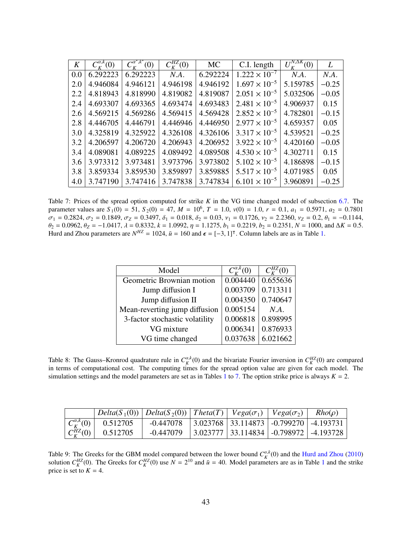| K   | $C_{\kappa}^{\alpha,k}(0)$ | $C_{\kappa}^{\alpha^*,k^*}(0)$ | $C_{\kappa}^{HZ}(0)$ | <b>MC</b> | C.I. length            | $U_{\nu}^{N,\Delta K}(0)$ | L       |
|-----|----------------------------|--------------------------------|----------------------|-----------|------------------------|---------------------------|---------|
| 0.0 | 6.292223                   | 6.292223                       | N.A.                 | 6.292224  | $1.222 \times 10^{-7}$ | N.A.                      | N.A.    |
| 2.0 | 4.946084                   | 4.946121                       | 4.946198             | 4.946192  | $1.697 \times 10^{-5}$ | 5.159785                  | $-0.25$ |
| 2.2 | 4.818943                   | 4.818990                       | 4.819082             | 4.819087  | $2.051 \times 10^{-5}$ | 5.032506                  | $-0.05$ |
| 2.4 | 4.693307                   | 4.693365                       | 4.693474             | 4.693483  | $2.481 \times 10^{-5}$ | 4.906937                  | 0.15    |
| 2.6 | 4.569215                   | 4.569286                       | 4.569415             | 4.569428  | $2.852 \times 10^{-5}$ | 4.782801                  | $-0.15$ |
| 2.8 | 4.446705                   | 4.446791                       | 4.446946             | 4.446950  | $2.977 \times 10^{-5}$ | 4.659357                  | 0.05    |
| 3.0 | 4.325819                   | 4.325922                       | 4.326108             | 4.326106  | $3.317 \times 10^{-5}$ | 4.539521                  | $-0.25$ |
| 3.2 | 4.206597                   | 4.206720                       | 4.206943             | 4.206952  | $3.922 \times 10^{-5}$ | 4.420160                  | $-0.05$ |
| 3.4 | 4.089081                   | 4.089225                       | 4.089492             | 4.089508  | $4.530 \times 10^{-5}$ | 4.302711                  | 0.15    |
| 3.6 | 3.973312                   | 3.973481                       | 3.973796             | 3.973802  | $5.102 \times 10^{-5}$ | 4.186898                  | $-0.15$ |
| 3.8 | 3.859334                   | 3.859530                       | 3.859897             | 3.859885  | $5.517 \times 10^{-5}$ | 4.071985                  | 0.05    |
| 4.0 | 3.747190                   | 3.747416                       | 3.747838             | 3.747834  | $6.101 \times 10^{-5}$ | 3.960891                  | $-0.25$ |

<span id="page-43-0"></span>Table 7: Prices of the spread option computed for strike *K* in the VG time changed model of subsection [6.7.](#page-27-0) The parameter values are  $S_1(0) = 51$ ,  $S_2(0) = 47$ ,  $M = 10^6$ ,  $T = 1.0$ ,  $v(0) = 1.0$ ,  $r = 0.1$ ,  $a_1 = 0.5971$ ,  $a_2 = 0.7801$ <br> $\sigma_1 = 0.2824$ ,  $\sigma_2 = 0.1849$ ,  $\sigma_3 = 0.3497$ ,  $\delta_2 = 0.018$ ,  $\delta_3 = 0.03$ ,  $v_1 = 0.1726$ ,  $v_2 = 2$  $\sigma_1 = 0.2824$ ,  $\sigma_2 = 0.1849$ ,  $\sigma_Z = 0.3497$ ,  $\delta_1 = 0.018$ ,  $\delta_2 = 0.03$ ,  $\nu_1 = 0.1726$ ,  $\nu_2 = 2.2360$ ,  $\nu_Z = 0.2$ ,  $\theta_1 = -0.1144$ ,  $\theta_2 = 0.0962$ ,  $\theta_2 = -1.0417$ ,  $\lambda = 0.8332$ ,  $k = 1.0992$ ,  $n = 1.1275$ ,  $b_1 = 0.2219$  $\theta_2 = 0.0962$ ,  $\theta_Z = -1.0417$  $\theta_Z = -1.0417$  $\theta_Z = -1.0417$ ,  $\lambda = 0.8332$ ,  $k = 1.0992$ ,  $\eta = 1.1275$ ,  $b_1 = 0.2219$ ,  $b_2 = 0.2351$ ,  $N = 1000$ , and  $\Delta K = 0.5$ .<br>Hurd and Zhou parameters are  $N^{HZ} = 1024$ ,  $\bar{u} = 160$  and  $\epsilon = [-3, 1]^T$ . Column labels are

| Model                          | $C_{\nu}^{\alpha,\kappa}(0)$ | $C_{\kappa}^{HZ}(0)$ |
|--------------------------------|------------------------------|----------------------|
| Geometric Brownian motion      | 0.004440                     | 0.655636             |
| Jump diffusion I               | 0.003709                     | 0.713311             |
| Jump diffusion II              | 0.004350                     | 0.740647             |
| Mean-reverting jump diffusion  | 0.005154                     | $N.A$ .              |
| 3-factor stochastic volatility | 0.006818                     | 0.898995             |
| VG mixture                     | 0.006341                     | 0.876933             |
| VG time changed                | 0.037638                     | 6.021662             |
|                                |                              |                      |

<span id="page-43-1"></span>Table 8: The Gauss–Kronrod quadrature rule in  $C_K^{\alpha,k}(0)$  and the bivariate Fourier inversion in  $C_K^{HZ}(0)$  are compared in terms of computational cost. The computing times for the spread option value are given for each model. The simulation settings and the model parameters are set as in Tables [1](#page-40-0) to [7.](#page-43-0) The option strike price is always  $K = 2$ .

|                          |          | $Delta(S_1(0))  Delta(S_2(0))  Theta(T)   Vega(\sigma_1)   Vega(\sigma_2)$ |                                                                        | $Rho(\rho)$ |
|--------------------------|----------|----------------------------------------------------------------------------|------------------------------------------------------------------------|-------------|
| $C_{K}^{\alpha,k}(0)$    | 0.512705 | $-0.447078$                                                                | $\mid$ 3.023768 $\mid$ 33.114873 $\mid$ -0.799270 $\mid$ -4.193731     |             |
| $\mid C_{K}^{HZ}(0)\mid$ | 0.512705 | $-0.447079$                                                                | $\vert$ 3.023777 $\vert$ 33.114834 $\vert$ -0.798972 $\vert$ -4.193728 |             |

<span id="page-43-2"></span>Table 9: The Greeks for the GBM model compared between the lower bound  $C_K^{\alpha,k}(0)$  and the [Hurd and Zhou](#page-38-5) [\(2010\)](#page-38-5) solution  $C_K^{HZ}(0)$ . The Greeks for  $C_K^{HZ}(0)$  use  $N = 2^{10}$  $N = 2^{10}$  $N = 2^{10}$  and  $\bar{u} = 40$ . Model parameters are as in Table 1 and the strike price is set to  $K = 4$ .